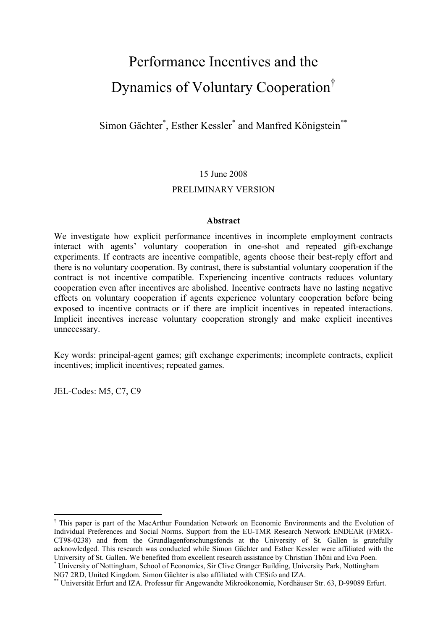# Performance Incentives and the Dynamics of Voluntary Cooperation †

Simon Gächter\*, Esther Kessler<sup>\*</sup> and Manfred Königstein<sup>\*\*</sup>

## 15 June 2008

## PRELIMINARY VERSION

## **Abstract**

We investigate how explicit performance incentives in incomplete employment contracts interact with agents' voluntary cooperation in one-shot and repeated gift-exchange experiments. If contracts are incentive compatible, agents choose their best-reply effort and there is no voluntary cooperation. By contrast, there is substantial voluntary cooperation if the contract is not incentive compatible. Experiencing incentive contracts reduces voluntary cooperation even after incentives are abolished. Incentive contracts have no lasting negative effects on voluntary cooperation if agents experience voluntary cooperation before being exposed to incentive contracts or if there are implicit incentives in repeated interactions. Implicit incentives increase voluntary cooperation strongly and make explicit incentives unnecessary.

Key words: principal-agent games; gift exchange experiments; incomplete contracts, explicit incentives; implicit incentives; repeated games.

JEL-Codes: M5, C7, C9

 $\overline{a}$ 

<sup>†</sup> This paper is part of the MacArthur Foundation Network on Economic Environments and the Evolution of Individual Preferences and Social Norms. Support from the EU-TMR Research Network ENDEAR (FMRX-CT98-0238) and from the Grundlagenforschungsfonds at the University of St. Gallen is gratefully acknowledged. This research was conducted while Simon Gächter and Esther Kessler were affiliated with the University of St. Gallen. We benefited from excellent research assistance by Christian Thöni and Eva Poen. \* University of Nottingham, School of Economics, Sir Clive Granger Building, University Park, Nottingham

NG7 2RD, United Kingdom. Simon Gächter is also affiliated with CESifo and IZA.

<sup>\*\*</sup> Universität Erfurt and IZA. Professur für Angewandte Mikroökonomie, Nordhäuser Str. 63, D-99089 Erfurt.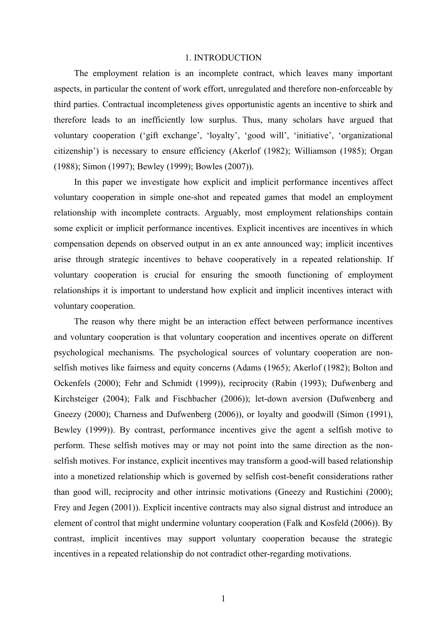#### 1. INTRODUCTION

The employment relation is an incomplete contract, which leaves many important aspects, in particular the content of work effort, unregulated and therefore non-enforceable by third parties. Contractual incompleteness gives opportunistic agents an incentive to shirk and therefore leads to an inefficiently low surplus. Thus, many scholars have argued that voluntary cooperation ('gift exchange', 'loyalty', 'good will', 'initiative', 'organizational citizenship') is necessary to ensure efficiency (Akerlof (1982); Williamson (1985); Organ (1988); Simon (1997); Bewley (1999); Bowles (2007)).

In this paper we investigate how explicit and implicit performance incentives affect voluntary cooperation in simple one-shot and repeated games that model an employment relationship with incomplete contracts. Arguably, most employment relationships contain some explicit or implicit performance incentives. Explicit incentives are incentives in which compensation depends on observed output in an ex ante announced way; implicit incentives arise through strategic incentives to behave cooperatively in a repeated relationship. If voluntary cooperation is crucial for ensuring the smooth functioning of employment relationships it is important to understand how explicit and implicit incentives interact with voluntary cooperation.

The reason why there might be an interaction effect between performance incentives and voluntary cooperation is that voluntary cooperation and incentives operate on different psychological mechanisms. The psychological sources of voluntary cooperation are nonselfish motives like fairness and equity concerns (Adams (1965); Akerlof (1982); Bolton and Ockenfels (2000); Fehr and Schmidt (1999)), reciprocity (Rabin (1993); Dufwenberg and Kirchsteiger (2004); Falk and Fischbacher (2006)); let-down aversion (Dufwenberg and Gneezy (2000); Charness and Dufwenberg (2006)), or loyalty and goodwill (Simon (1991), Bewley (1999)). By contrast, performance incentives give the agent a selfish motive to perform. These selfish motives may or may not point into the same direction as the nonselfish motives. For instance, explicit incentives may transform a good-will based relationship into a monetized relationship which is governed by selfish cost-benefit considerations rather than good will, reciprocity and other intrinsic motivations (Gneezy and Rustichini (2000); Frey and Jegen (2001)). Explicit incentive contracts may also signal distrust and introduce an element of control that might undermine voluntary cooperation (Falk and Kosfeld (2006)). By contrast, implicit incentives may support voluntary cooperation because the strategic incentives in a repeated relationship do not contradict other-regarding motivations.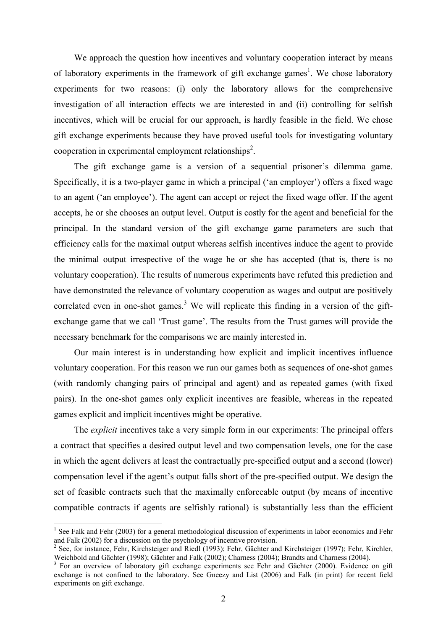We approach the question how incentives and voluntary cooperation interact by means of laboratory experiments in the framework of gift exchange games<sup>1</sup>. We chose laboratory experiments for two reasons: (i) only the laboratory allows for the comprehensive investigation of all interaction effects we are interested in and (ii) controlling for selfish incentives, which will be crucial for our approach, is hardly feasible in the field. We chose gift exchange experiments because they have proved useful tools for investigating voluntary cooperation in experimental employment relationships<sup>2</sup>.

The gift exchange game is a version of a sequential prisoner's dilemma game. Specifically, it is a two-player game in which a principal ('an employer') offers a fixed wage to an agent ('an employee'). The agent can accept or reject the fixed wage offer. If the agent accepts, he or she chooses an output level. Output is costly for the agent and beneficial for the principal. In the standard version of the gift exchange game parameters are such that efficiency calls for the maximal output whereas selfish incentives induce the agent to provide the minimal output irrespective of the wage he or she has accepted (that is, there is no voluntary cooperation). The results of numerous experiments have refuted this prediction and have demonstrated the relevance of voluntary cooperation as wages and output are positively correlated even in one-shot games.<sup>3</sup> We will replicate this finding in a version of the giftexchange game that we call 'Trust game'. The results from the Trust games will provide the necessary benchmark for the comparisons we are mainly interested in.

Our main interest is in understanding how explicit and implicit incentives influence voluntary cooperation. For this reason we run our games both as sequences of one-shot games (with randomly changing pairs of principal and agent) and as repeated games (with fixed pairs). In the one-shot games only explicit incentives are feasible, whereas in the repeated games explicit and implicit incentives might be operative.

The *explicit* incentives take a very simple form in our experiments: The principal offers a contract that specifies a desired output level and two compensation levels, one for the case in which the agent delivers at least the contractually pre-specified output and a second (lower) compensation level if the agent's output falls short of the pre-specified output. We design the set of feasible contracts such that the maximally enforceable output (by means of incentive compatible contracts if agents are selfishly rational) is substantially less than the efficient

<sup>&</sup>lt;sup>1</sup> See Falk and Fehr (2003) for a general methodological discussion of experiments in labor economics and Fehr and Falk (2002) for a discussion on the psychology of incentive provision.

 $2^2$  See, for instance, Fehr, Kirchsteiger and Riedl (1993); Fehr, Gächter and Kirchsteiger (1997); Fehr, Kirchler, Weichbold and Gächter (1998); Gächter and Falk (2002); Charness (2004); Brandts and Charness (2004).

<sup>&</sup>lt;sup>3</sup> For an overview of laboratory gift exchange experiments see Fehr and Gächter (2000). Evidence on gift exchange is not confined to the laboratory. See Gneezy and List (2006) and Falk (in print) for recent field experiments on gift exchange.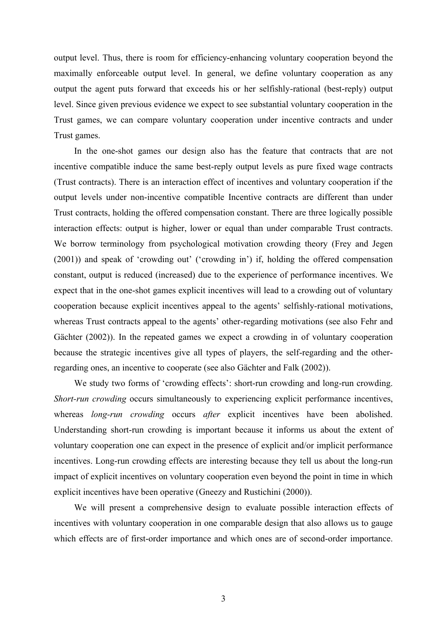output level. Thus, there is room for efficiency-enhancing voluntary cooperation beyond the maximally enforceable output level. In general, we define voluntary cooperation as any output the agent puts forward that exceeds his or her selfishly-rational (best-reply) output level. Since given previous evidence we expect to see substantial voluntary cooperation in the Trust games, we can compare voluntary cooperation under incentive contracts and under Trust games.

In the one-shot games our design also has the feature that contracts that are not incentive compatible induce the same best-reply output levels as pure fixed wage contracts (Trust contracts). There is an interaction effect of incentives and voluntary cooperation if the output levels under non-incentive compatible Incentive contracts are different than under Trust contracts, holding the offered compensation constant. There are three logically possible interaction effects: output is higher, lower or equal than under comparable Trust contracts. We borrow terminology from psychological motivation crowding theory (Frey and Jegen (2001)) and speak of 'crowding out' ('crowding in') if, holding the offered compensation constant, output is reduced (increased) due to the experience of performance incentives. We expect that in the one-shot games explicit incentives will lead to a crowding out of voluntary cooperation because explicit incentives appeal to the agents' selfishly-rational motivations, whereas Trust contracts appeal to the agents' other-regarding motivations (see also Fehr and Gächter (2002)). In the repeated games we expect a crowding in of voluntary cooperation because the strategic incentives give all types of players, the self-regarding and the otherregarding ones, an incentive to cooperate (see also Gächter and Falk (2002)).

We study two forms of 'crowding effects': short-run crowding and long-run crowding. *Short-run crowding* occurs simultaneously to experiencing explicit performance incentives, whereas *long-run crowding* occurs *after* explicit incentives have been abolished. Understanding short-run crowding is important because it informs us about the extent of voluntary cooperation one can expect in the presence of explicit and/or implicit performance incentives. Long-run crowding effects are interesting because they tell us about the long-run impact of explicit incentives on voluntary cooperation even beyond the point in time in which explicit incentives have been operative (Gneezy and Rustichini (2000)).

We will present a comprehensive design to evaluate possible interaction effects of incentives with voluntary cooperation in one comparable design that also allows us to gauge which effects are of first-order importance and which ones are of second-order importance.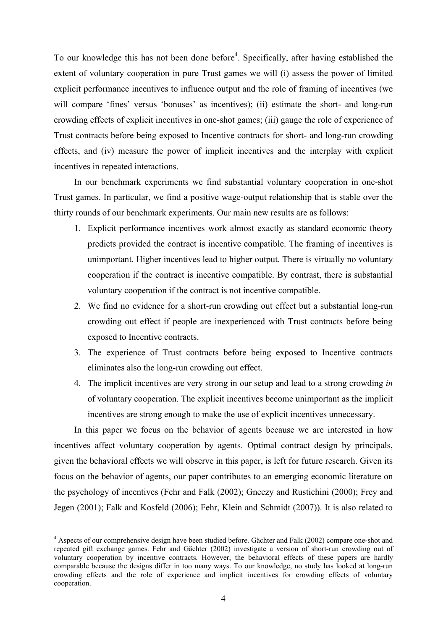To our knowledge this has not been done before<sup>4</sup>. Specifically, after having established the extent of voluntary cooperation in pure Trust games we will (i) assess the power of limited explicit performance incentives to influence output and the role of framing of incentives (we will compare 'fines' versus 'bonuses' as incentives); (ii) estimate the short- and long-run crowding effects of explicit incentives in one-shot games; (iii) gauge the role of experience of Trust contracts before being exposed to Incentive contracts for short- and long-run crowding effects, and (iv) measure the power of implicit incentives and the interplay with explicit incentives in repeated interactions.

In our benchmark experiments we find substantial voluntary cooperation in one-shot Trust games. In particular, we find a positive wage-output relationship that is stable over the thirty rounds of our benchmark experiments. Our main new results are as follows:

- 1. Explicit performance incentives work almost exactly as standard economic theory predicts provided the contract is incentive compatible. The framing of incentives is unimportant. Higher incentives lead to higher output. There is virtually no voluntary cooperation if the contract is incentive compatible. By contrast, there is substantial voluntary cooperation if the contract is not incentive compatible.
- 2. We find no evidence for a short-run crowding out effect but a substantial long-run crowding out effect if people are inexperienced with Trust contracts before being exposed to Incentive contracts.
- 3. The experience of Trust contracts before being exposed to Incentive contracts eliminates also the long-run crowding out effect.
- 4. The implicit incentives are very strong in our setup and lead to a strong crowding *in* of voluntary cooperation. The explicit incentives become unimportant as the implicit incentives are strong enough to make the use of explicit incentives unnecessary.

In this paper we focus on the behavior of agents because we are interested in how incentives affect voluntary cooperation by agents. Optimal contract design by principals, given the behavioral effects we will observe in this paper, is left for future research. Given its focus on the behavior of agents, our paper contributes to an emerging economic literature on the psychology of incentives (Fehr and Falk (2002); Gneezy and Rustichini (2000); Frey and Jegen (2001); Falk and Kosfeld (2006); Fehr, Klein and Schmidt (2007)). It is also related to

 $\overline{a}$ 

<sup>&</sup>lt;sup>4</sup> Aspects of our comprehensive design have been studied before. Gächter and Falk (2002) compare one-shot and repeated gift exchange games. Fehr and Gächter (2002) investigate a version of short-run crowding out of voluntary cooperation by incentive contracts. However, the behavioral effects of these papers are hardly comparable because the designs differ in too many ways. To our knowledge, no study has looked at long-run crowding effects and the role of experience and implicit incentives for crowding effects of voluntary cooperation.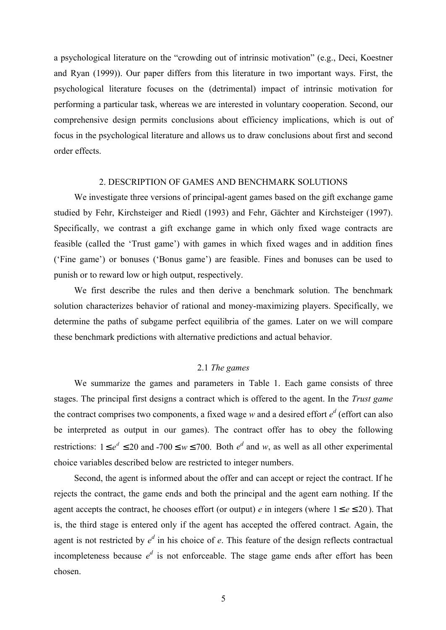a psychological literature on the "crowding out of intrinsic motivation" (e.g., Deci, Koestner and Ryan (1999)). Our paper differs from this literature in two important ways. First, the psychological literature focuses on the (detrimental) impact of intrinsic motivation for performing a particular task, whereas we are interested in voluntary cooperation. Second, our comprehensive design permits conclusions about efficiency implications, which is out of focus in the psychological literature and allows us to draw conclusions about first and second order effects.

#### 2. DESCRIPTION OF GAMES AND BENCHMARK SOLUTIONS

We investigate three versions of principal-agent games based on the gift exchange game studied by Fehr, Kirchsteiger and Riedl (1993) and Fehr, Gächter and Kirchsteiger (1997). Specifically, we contrast a gift exchange game in which only fixed wage contracts are feasible (called the 'Trust game') with games in which fixed wages and in addition fines ('Fine game') or bonuses ('Bonus game') are feasible. Fines and bonuses can be used to punish or to reward low or high output, respectively.

We first describe the rules and then derive a benchmark solution. The benchmark solution characterizes behavior of rational and money-maximizing players. Specifically, we determine the paths of subgame perfect equilibria of the games. Later on we will compare these benchmark predictions with alternative predictions and actual behavior.

#### 2.1 *The games*

We summarize the games and parameters in Table 1. Each game consists of three stages. The principal first designs a contract which is offered to the agent. In the *Trust game* the contract comprises two components, a fixed wage *w* and a desired effort  $e^d$  (effort can also be interpreted as output in our games). The contract offer has to obey the following restrictions:  $1 \le e^d \le 20$  and  $-700 \le w \le 700$ . Both  $e^d$  and w, as well as all other experimental choice variables described below are restricted to integer numbers.

Second, the agent is informed about the offer and can accept or reject the contract. If he rejects the contract, the game ends and both the principal and the agent earn nothing. If the agent accepts the contract, he chooses effort (or output) *e* in integers (where  $1 \le e \le 20$ ). That is, the third stage is entered only if the agent has accepted the offered contract. Again, the agent is not restricted by  $e^d$  in his choice of  $e$ . This feature of the design reflects contractual incompleteness because  $e^d$  is not enforceable. The stage game ends after effort has been chosen.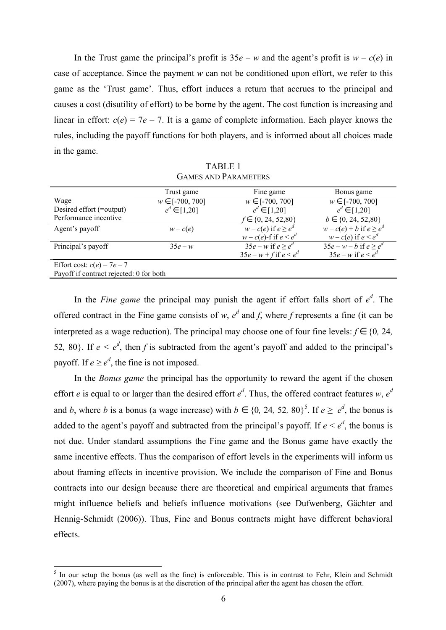In the Trust game the principal's profit is  $35e - w$  and the agent's profit is  $w - c(e)$  in case of acceptance. Since the payment *w* can not be conditioned upon effort, we refer to this game as the 'Trust game'. Thus, effort induces a return that accrues to the principal and causes a cost (disutility of effort) to be borne by the agent. The cost function is increasing and linear in effort:  $c(e) = 7e - 7$ . It is a game of complete information. Each player knows the rules, including the payoff functions for both players, and is informed about all choices made in the game.

|                                         | Trust game          | Fine game                  | Bonus game                            |
|-----------------------------------------|---------------------|----------------------------|---------------------------------------|
| Wage                                    | $w \in [-700, 700]$ | $w \in [-700, 700]$        | $w \in [-700, 700]$                   |
| Desired effort (=output)                | $e^d \in [1,20]$    | $e^d \in [1,20]$           | $e^d \in [1,20]$                      |
| Performance incentive                   |                     | $f \in \{0, 24, 52, 80\}$  | $b \in \{0, 24, 52, 80\}$             |
| Agent's payoff                          | $w - c(e)$          | $w - c(e)$ if $e \geq e^d$ | $w-c(e)+b$ if $e \geq \overline{e^d}$ |
|                                         |                     | $w - c(e)$ -f if $e < e^d$ | $w - c(e)$ if $e < e^d$               |
| Principal's payoff                      | $35e - w$           | $35e - w$ if $e > e^d$     | $35e - w - b$ if $e \geq e^d$         |
|                                         |                     | $35e - w + f$ if $e < e^d$ | $35e - w$ if $e < e^d$                |
| Effort cost: $c(e) = 7e-7$              |                     |                            |                                       |
| Payoff if contract rejected: 0 for both |                     |                            |                                       |

TABLE 1 GAMES AND PARAMETERS

In the *Fine game* the principal may punish the agent if effort falls short of  $e^d$ . The offered contract in the Fine game consists of *w*,  $e^d$  and *f*, where *f* represents a fine (it can be interpreted as a wage reduction). The principal may choose one of four fine levels:  $f \in \{0, 24, \ldots\}$ 52, 80}. If  $e < e^d$ , then f is subtracted from the agent's payoff and added to the principal's payoff. If  $e \geq e^d$ , the fine is not imposed.

In the *Bonus game* the principal has the opportunity to reward the agent if the chosen effort *e* is equal to or larger than the desired effort  $e^d$ . Thus, the offered contract features *w*,  $e^d$ and *b*, where *b* is a bonus (a wage increase) with  $b \in \{0, 24, 52, 80\}^5$ . If  $e \ge e^d$ , the bonus is added to the agent's payoff and subtracted from the principal's payoff. If  $e < e^d$ , the bonus is not due. Under standard assumptions the Fine game and the Bonus game have exactly the same incentive effects. Thus the comparison of effort levels in the experiments will inform us about framing effects in incentive provision. We include the comparison of Fine and Bonus contracts into our design because there are theoretical and empirical arguments that frames might influence beliefs and beliefs influence motivations (see Dufwenberg, Gächter and Hennig-Schmidt (2006)). Thus, Fine and Bonus contracts might have different behavioral effects.

 $\overline{a}$ 

<sup>&</sup>lt;sup>5</sup> In our setup the bonus (as well as the fine) is enforceable. This is in contrast to Fehr, Klein and Schmidt (2007), where paying the bonus is at the discretion of the principal after the agent has chosen the effort.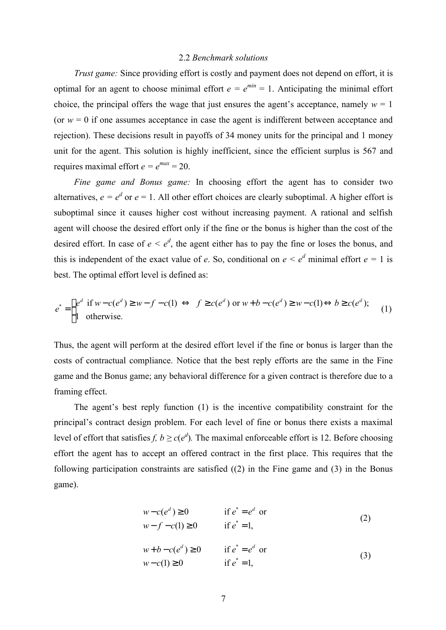#### 2.2 *Benchmark solutions*

*Trust game:* Since providing effort is costly and payment does not depend on effort, it is optimal for an agent to choose minimal effort  $e = e^{min} = 1$ . Anticipating the minimal effort choice, the principal offers the wage that just ensures the agent's acceptance, namely  $w = 1$ (or  $w = 0$  if one assumes acceptance in case the agent is indifferent between acceptance and rejection). These decisions result in payoffs of 34 money units for the principal and 1 money unit for the agent. This solution is highly inefficient, since the efficient surplus is 567 and requires maximal effort  $e = e^{max} = 20$ .

*Fine game and Bonus game:* In choosing effort the agent has to consider two alternatives,  $e = e^d$  or  $e = 1$ . All other effort choices are clearly suboptimal. A higher effort is suboptimal since it causes higher cost without increasing payment. A rational and selfish agent will choose the desired effort only if the fine or the bonus is higher than the cost of the desired effort. In case of  $e \leq e^d$ , the agent either has to pay the fine or loses the bonus, and this is independent of the exact value of *e*. So, conditional on  $e < e^d$  minimal effort  $e = 1$  is best. The optimal effort level is defined as:

$$
e^* = \begin{cases} e^d & \text{if } w - c(e^d) \ge w - f - c(1) \iff f \ge c(e^d) \text{ or } w + b - c(e^d) \ge w - c(1) \Leftrightarrow b \ge c(e^d);\\ 1 & \text{otherwise.} \end{cases} (1)
$$

Thus, the agent will perform at the desired effort level if the fine or bonus is larger than the costs of contractual compliance. Notice that the best reply efforts are the same in the Fine game and the Bonus game; any behavioral difference for a given contract is therefore due to a framing effect.

The agent's best reply function (1) is the incentive compatibility constraint for the principal's contract design problem. For each level of fine or bonus there exists a maximal level of effort that satisfies *f,*  $b \ge c(e^d)$ . The maximal enforceable effort is 12. Before choosing effort the agent has to accept an offered contract in the first place. This requires that the following participation constraints are satisfied ((2) in the Fine game and (3) in the Bonus game).

$$
w - c(ed) \ge 0 \qquad \text{if } e^* = ed \text{ or}
$$
  
\n
$$
w - f - c(1) \ge 0 \qquad \text{if } e^* = 1,
$$
\n(2)

$$
w+b-c(ed) \ge 0 \qquad \text{if } e^*=ed \text{ or}
$$
  
\n
$$
w-c(1) \ge 0 \qquad \text{if } e^*=1,
$$
\n(3)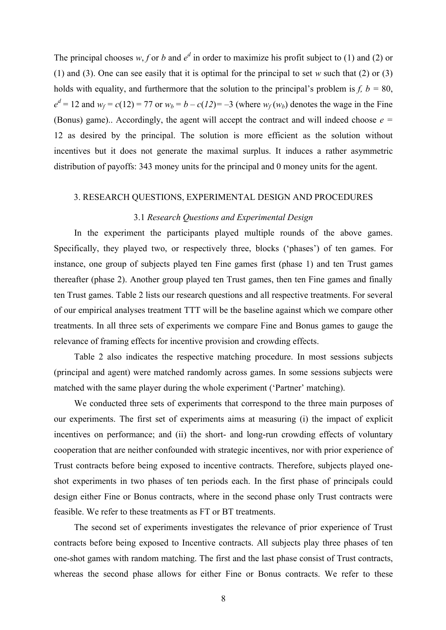The principal chooses  $w, f$  or  $b$  and  $e^d$  in order to maximize his profit subject to (1) and (2) or (1) and (3). One can see easily that it is optimal for the principal to set *w* such that (2) or (3) holds with equality, and furthermore that the solution to the principal's problem is  $f, b = 80$ ,  $e^{d} = 12$  and  $w_f = c(12) = 77$  or  $w_b = b - c(12) = -3$  (where  $w_f(w_b)$ ) denotes the wage in the Fine (Bonus) game).. Accordingly, the agent will accept the contract and will indeed choose *e =* 12 as desired by the principal. The solution is more efficient as the solution without incentives but it does not generate the maximal surplus. It induces a rather asymmetric distribution of payoffs: 343 money units for the principal and 0 money units for the agent.

#### 3. RESEARCH QUESTIONS, EXPERIMENTAL DESIGN AND PROCEDURES

## 3.1 *Research Questions and Experimental Design*

In the experiment the participants played multiple rounds of the above games. Specifically, they played two, or respectively three, blocks ('phases') of ten games. For instance, one group of subjects played ten Fine games first (phase 1) and ten Trust games thereafter (phase 2). Another group played ten Trust games, then ten Fine games and finally ten Trust games. Table 2 lists our research questions and all respective treatments. For several of our empirical analyses treatment TTT will be the baseline against which we compare other treatments. In all three sets of experiments we compare Fine and Bonus games to gauge the relevance of framing effects for incentive provision and crowding effects.

Table 2 also indicates the respective matching procedure. In most sessions subjects (principal and agent) were matched randomly across games. In some sessions subjects were matched with the same player during the whole experiment ('Partner' matching).

We conducted three sets of experiments that correspond to the three main purposes of our experiments. The first set of experiments aims at measuring (i) the impact of explicit incentives on performance; and (ii) the short- and long-run crowding effects of voluntary cooperation that are neither confounded with strategic incentives, nor with prior experience of Trust contracts before being exposed to incentive contracts. Therefore, subjects played oneshot experiments in two phases of ten periods each. In the first phase of principals could design either Fine or Bonus contracts, where in the second phase only Trust contracts were feasible. We refer to these treatments as FT or BT treatments.

The second set of experiments investigates the relevance of prior experience of Trust contracts before being exposed to Incentive contracts. All subjects play three phases of ten one-shot games with random matching. The first and the last phase consist of Trust contracts, whereas the second phase allows for either Fine or Bonus contracts. We refer to these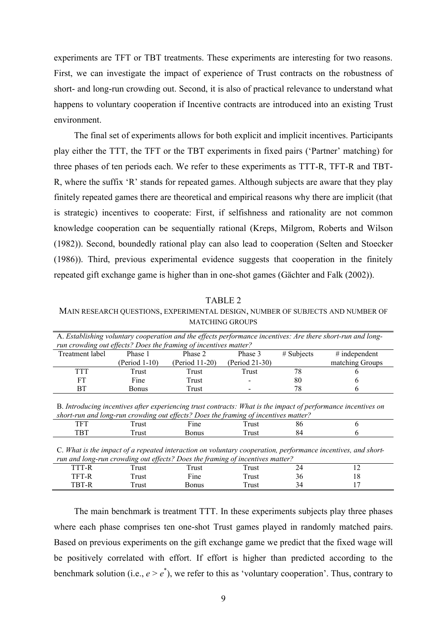experiments are TFT or TBT treatments. These experiments are interesting for two reasons. First, we can investigate the impact of experience of Trust contracts on the robustness of short- and long-run crowding out. Second, it is also of practical relevance to understand what happens to voluntary cooperation if Incentive contracts are introduced into an existing Trust environment.

The final set of experiments allows for both explicit and implicit incentives. Participants play either the TTT, the TFT or the TBT experiments in fixed pairs ('Partner' matching) for three phases of ten periods each. We refer to these experiments as TTT-R, TFT-R and TBT-R, where the suffix 'R' stands for repeated games. Although subjects are aware that they play finitely repeated games there are theoretical and empirical reasons why there are implicit (that is strategic) incentives to cooperate: First, if selfishness and rationality are not common knowledge cooperation can be sequentially rational (Kreps, Milgrom, Roberts and Wilson (1982)). Second, boundedly rational play can also lead to cooperation (Selten and Stoecker (1986)). Third, previous experimental evidence suggests that cooperation in the finitely repeated gift exchange game is higher than in one-shot games (Gächter and Falk (2002)).

#### TABLE 2

MAIN RESEARCH QUESTIONS, EXPERIMENTAL DESIGN, NUMBER OF SUBJECTS AND NUMBER OF MATCHING GROUPS

| A. Establishing voluntary cooperation and the effects performance incentives: Are there short-run and long-<br>run crowding out effects? Does the framing of incentives matter? |                |                |              |                 |  |
|---------------------------------------------------------------------------------------------------------------------------------------------------------------------------------|----------------|----------------|--------------|-----------------|--|
| Phase 1                                                                                                                                                                         | Phase 2        | Phase 3        | $#$ Subjects | $#$ independent |  |
| (Period 1-10)                                                                                                                                                                   | (Period 11-20) | (Period 21-30) |              | matching Groups |  |
| Trust                                                                                                                                                                           | Trust          | Trust          | 78           |                 |  |
| Fine                                                                                                                                                                            | Trust          |                | 80           |                 |  |
| <b>Bonus</b>                                                                                                                                                                    | Trust          |                | 78           |                 |  |
|                                                                                                                                                                                 |                |                |              |                 |  |

B. *Introducing incentives after experiencing trust contracts: What is the impact of performance incentives on short-run and long-run crowding out effects? Does the framing of incentives matter?*

| $-$<br>. .<br>-- | ruc              | –<br>---<br>$\mathbf{H}$<br>$\sim$ | 22.01<br>TIUSL  | oυ<br>$ -$ |  |
|------------------|------------------|------------------------------------|-----------------|------------|--|
| m<br>---         | -----<br>п٥<br>. | แนะ                                | ירים במה<br>વડા | ٥4         |  |

C. *What is the impact of a repeated interaction on voluntary cooperation, performance incentives, and shortrun and long-run crowding out effects? Does the framing of incentives matter?*

| .   | .                |           | --                     |    |                          |  |
|-----|------------------|-----------|------------------------|----|--------------------------|--|
| -к  | $\sim$<br>l rust | rust      | --<br>ı rust           | ∠− | $\overline{\phantom{0}}$ |  |
| – b | l rust           | ÷-<br>ine | $\mathbf{r}$<br>I rust | 30 | 1 U                      |  |
|     | 1 rust           | Bonus     | m.<br>ı rust           | 94 | $\overline{\phantom{a}}$ |  |

The main benchmark is treatment TTT. In these experiments subjects play three phases where each phase comprises ten one-shot Trust games played in randomly matched pairs. Based on previous experiments on the gift exchange game we predict that the fixed wage will be positively correlated with effort. If effort is higher than predicted according to the benchmark solution (i.e.,  $e > e^*$ ), we refer to this as 'voluntary cooperation'. Thus, contrary to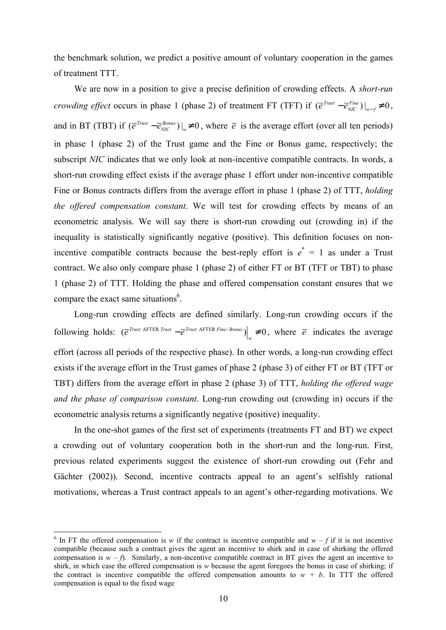the benchmark solution, we predict a positive amount of voluntary cooperation in the games of treatment TTT.

We are now in a position to give a precise definition of crowding effects. A *short-run crowding effect* occurs in phase 1 (phase 2) of treatment FT (TFT) if  $(\bar{e}^{Trust} - \bar{e}_{MC}^{Fine})|_{v=f} \neq 0$  $\left. \overline{e}^{Trust} - \overline{e}^{Fine}_{NIC} \right) \right|_{w-f} \neq 0,$ and in BT (TBT) if  $(\overline{e}^{Trust} - \overline{e}^{Bonus}_{NIC})|_{w} \neq 0$  $\overline{e}^{Trust} - \overline{e}_{NIC}^{Bonus}$ )  $\vert_w \neq 0$ , where  $\overline{e}$  is the average effort (over all ten periods) in phase 1 (phase 2) of the Trust game and the Fine or Bonus game, respectively; the subscript *NIC* indicates that we only look at non-incentive compatible contracts. In words, a short-run crowding effect exists if the average phase 1 effort under non-incentive compatible Fine or Bonus contracts differs from the average effort in phase 1 (phase 2) of TTT, *holding the offered compensation constant*. We will test for crowding effects by means of an econometric analysis. We will say there is short-run crowding out (crowding in) if the inequality is statistically significantly negative (positive). This definition focuses on nonincentive compatible contracts because the best-reply effort is  $e^* = 1$  as under a Trust contract. We also only compare phase 1 (phase 2) of either FT or BT (TFT or TBT) to phase 1 (phase 2) of TTT. Holding the phase and offered compensation constant ensures that we compare the exact same situations $<sup>6</sup>$ .</sup>

Long-run crowding effects are defined similarly. Long-run crowding occurs if the following holds:  $\left(\overline{e}^{Trust \text{ AFTER Trust}} - \overline{e}^{Trust \text{ AFTER Fine/}|Bonus}\right) \neq 0$  $\left. e^{T_{\text{rust}} \text{ AFTER } T_{\text{rust}}} - \overline{e}^{T_{\text{rust}} \text{ AFTER } F_{\text{line}}/B_{\text{onus}}} \right) \right|_{w} \neq 0$ , where  $\overline{e}$  indicates the average effort (across all periods of the respective phase). In other words, a long-run crowding effect exists if the average effort in the Trust games of phase 2 (phase 3) of either FT or BT (TFT or TBT) differs from the average effort in phase 2 (phase 3) of TTT, *holding the offered wage and the phase of comparison constant*. Long-run crowding out (crowding in) occurs if the econometric analysis returns a significantly negative (positive) inequality.

In the one-shot games of the first set of experiments (treatments FT and BT) we expect a crowding out of voluntary cooperation both in the short-run and the long-run. First, previous related experiments suggest the existence of short-run crowding out (Fehr and Gächter (2002)). Second, incentive contracts appeal to an agent's selfishly rational motivations, whereas a Trust contract appeals to an agent's other-regarding motivations. We

 $\overline{a}$ 

<sup>&</sup>lt;sup>6</sup> In FT the offered compensation is *w* if the contract is incentive compatible and  $w - f$  if it is not incentive compatible (because such a contract gives the agent an incentive to shirk and in case of shirking the offered compensation is  $w - f$ ). Similarly, a non-incentive compatible contract in BT gives the agent an incentive to shirk, in which case the offered compensation is *w* because the agent foregoes the bonus in case of shirking; if the contract is incentive compatible the offered compensation amounts to  $w + b$ . In TTT the offered compensation is equal to the fixed wage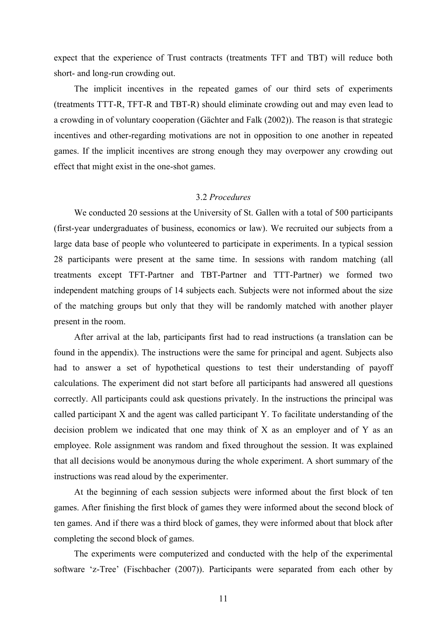expect that the experience of Trust contracts (treatments TFT and TBT) will reduce both short- and long-run crowding out.

The implicit incentives in the repeated games of our third sets of experiments (treatments TTT-R, TFT-R and TBT-R) should eliminate crowding out and may even lead to a crowding in of voluntary cooperation (Gächter and Falk (2002)). The reason is that strategic incentives and other-regarding motivations are not in opposition to one another in repeated games. If the implicit incentives are strong enough they may overpower any crowding out effect that might exist in the one-shot games.

#### 3.2 *Procedures*

We conducted 20 sessions at the University of St. Gallen with a total of 500 participants (first-year undergraduates of business, economics or law). We recruited our subjects from a large data base of people who volunteered to participate in experiments. In a typical session 28 participants were present at the same time. In sessions with random matching (all treatments except TFT-Partner and TBT-Partner and TTT-Partner) we formed two independent matching groups of 14 subjects each. Subjects were not informed about the size of the matching groups but only that they will be randomly matched with another player present in the room.

After arrival at the lab, participants first had to read instructions (a translation can be found in the appendix). The instructions were the same for principal and agent. Subjects also had to answer a set of hypothetical questions to test their understanding of payoff calculations. The experiment did not start before all participants had answered all questions correctly. All participants could ask questions privately. In the instructions the principal was called participant X and the agent was called participant Y. To facilitate understanding of the decision problem we indicated that one may think of X as an employer and of Y as an employee. Role assignment was random and fixed throughout the session. It was explained that all decisions would be anonymous during the whole experiment. A short summary of the instructions was read aloud by the experimenter.

At the beginning of each session subjects were informed about the first block of ten games. After finishing the first block of games they were informed about the second block of ten games. And if there was a third block of games, they were informed about that block after completing the second block of games.

The experiments were computerized and conducted with the help of the experimental software 'z-Tree' (Fischbacher (2007)). Participants were separated from each other by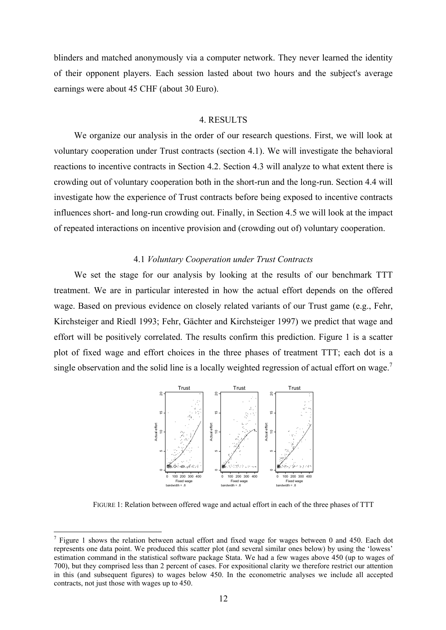blinders and matched anonymously via a computer network. They never learned the identity of their opponent players. Each session lasted about two hours and the subject's average earnings were about 45 CHF (about 30 Euro).

#### 4. RESULTS

We organize our analysis in the order of our research questions. First, we will look at voluntary cooperation under Trust contracts (section 4.1). We will investigate the behavioral reactions to incentive contracts in Section 4.2. Section 4.3 will analyze to what extent there is crowding out of voluntary cooperation both in the short-run and the long-run. Section 4.4 will investigate how the experience of Trust contracts before being exposed to incentive contracts influences short- and long-run crowding out. Finally, in Section 4.5 we will look at the impact of repeated interactions on incentive provision and (crowding out of) voluntary cooperation.

#### 4.1 *Voluntary Cooperation under Trust Contracts*

We set the stage for our analysis by looking at the results of our benchmark TTT treatment. We are in particular interested in how the actual effort depends on the offered wage. Based on previous evidence on closely related variants of our Trust game (e.g., Fehr, Kirchsteiger and Riedl 1993; Fehr, Gächter and Kirchsteiger 1997) we predict that wage and effort will be positively correlated. The results confirm this prediction. Figure 1 is a scatter plot of fixed wage and effort choices in the three phases of treatment TTT; each dot is a single observation and the solid line is a locally weighted regression of actual effort on wage.<sup>7</sup>



FIGURE 1: Relation between offered wage and actual effort in each of the three phases of TTT

 $\overline{a}$ 

<sup>&</sup>lt;sup>7</sup> Figure 1 shows the relation between actual effort and fixed wage for wages between 0 and 450. Each dot represents one data point. We produced this scatter plot (and several similar ones below) by using the 'lowess' estimation command in the statistical software package Stata. We had a few wages above 450 (up to wages of 700), but they comprised less than 2 percent of cases. For expositional clarity we therefore restrict our attention in this (and subsequent figures) to wages below 450. In the econometric analyses we include all accepted contracts, not just those with wages up to 450.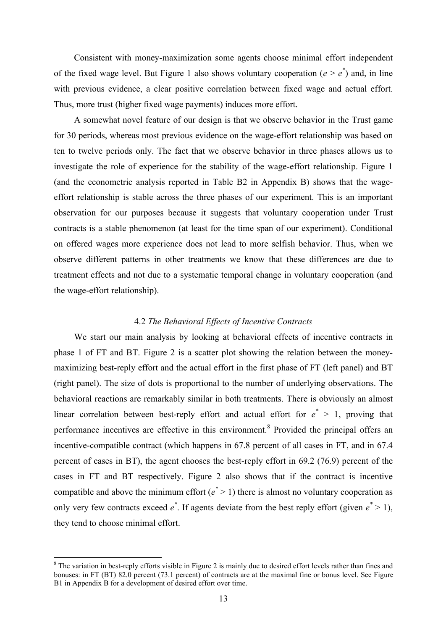Consistent with money-maximization some agents choose minimal effort independent of the fixed wage level. But Figure 1 also shows voluntary cooperation ( $e > e^*$ ) and, in line with previous evidence, a clear positive correlation between fixed wage and actual effort. Thus, more trust (higher fixed wage payments) induces more effort.

A somewhat novel feature of our design is that we observe behavior in the Trust game for 30 periods, whereas most previous evidence on the wage-effort relationship was based on ten to twelve periods only. The fact that we observe behavior in three phases allows us to investigate the role of experience for the stability of the wage-effort relationship. Figure 1 (and the econometric analysis reported in Table B2 in Appendix B) shows that the wageeffort relationship is stable across the three phases of our experiment. This is an important observation for our purposes because it suggests that voluntary cooperation under Trust contracts is a stable phenomenon (at least for the time span of our experiment). Conditional on offered wages more experience does not lead to more selfish behavior. Thus, when we observe different patterns in other treatments we know that these differences are due to treatment effects and not due to a systematic temporal change in voluntary cooperation (and the wage-effort relationship).

#### 4.2 *The Behavioral Effects of Incentive Contracts*

We start our main analysis by looking at behavioral effects of incentive contracts in phase 1 of FT and BT. Figure 2 is a scatter plot showing the relation between the moneymaximizing best-reply effort and the actual effort in the first phase of FT (left panel) and BT (right panel). The size of dots is proportional to the number of underlying observations. The behavioral reactions are remarkably similar in both treatments. There is obviously an almost linear correlation between best-reply effort and actual effort for  $e^* > 1$ , proving that performance incentives are effective in this environment.<sup>8</sup> Provided the principal offers an incentive-compatible contract (which happens in 67.8 percent of all cases in FT, and in 67.4 percent of cases in BT), the agent chooses the best-reply effort in 69.2 (76.9) percent of the cases in FT and BT respectively. Figure 2 also shows that if the contract is incentive compatible and above the minimum effort  $(e^* > 1)$  there is almost no voluntary cooperation as only very few contracts exceed  $e^*$ . If agents deviate from the best reply effort (given  $e^* > 1$ ), they tend to choose minimal effort.

 $\overline{a}$ 

 $8$  The variation in best-reply efforts visible in Figure 2 is mainly due to desired effort levels rather than fines and bonuses: in FT (BT) 82.0 percent (73.1 percent) of contracts are at the maximal fine or bonus level. See Figure B1 in Appendix B for a development of desired effort over time.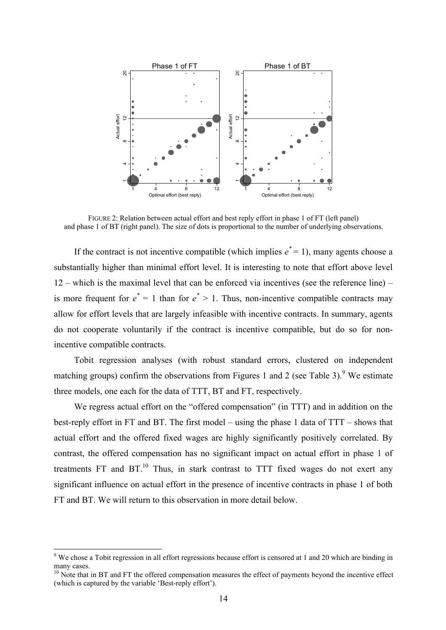

FIGURE 2: Relation between actual effort and best reply effort in phase 1 of FT (left panel) and phase 1 of BT (right panel). The size of dots is proportional to the number of underlying observations.

If the contract is not incentive compatible (which implies  $e^* = 1$ ), many agents choose a substantially higher than minimal effort level. It is interesting to note that effort above level 12 – which is the maximal level that can be enforced via incentives (see the reference line) – is more frequent for  $e^* = 1$  than for  $e^* > 1$ . Thus, non-incentive compatible contracts may allow for effort levels that are largely infeasible with incentive contracts. In summary, agents do not cooperate voluntarily if the contract is incentive compatible, but do so for nonincentive compatible contracts.

Tobit regression analyses (with robust standard errors, clustered on independent matching groups) confirm the observations from Figures 1 and 2 (see Table 3).<sup>9</sup> We estimate three models, one each for the data of TTT, BT and FT, respectively.

We regress actual effort on the "offered compensation" (in TTT) and in addition on the best-reply effort in FT and BT. The first model – using the phase 1 data of TTT – shows that actual effort and the offered fixed wages are highly significantly positively correlated. By contrast, the offered compensation has no significant impact on actual effort in phase 1 of treatments  $FT$  and  $BT<sup>10</sup>$ . Thus, in stark contrast to  $TTT$  fixed wages do not exert any significant influence on actual effort in the presence of incentive contracts in phase 1 of both FT and BT. We will return to this observation in more detail below.

<sup>&</sup>lt;sup>9</sup> We chose a Tobit regression in all effort regressions because effort is censored at 1 and 20 which are binding in many cases.

<sup>&</sup>lt;sup>10</sup> Note that in BT and FT the offered compensation measures the effect of payments beyond the incentive effect (which is captured by the variable 'Best-reply effort').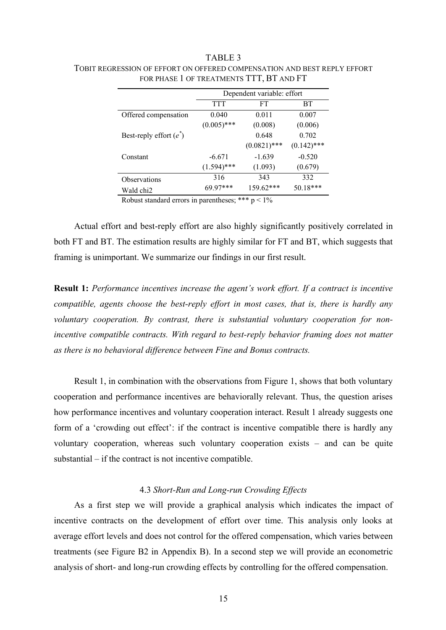## TABLE 3

|                           | Dependent variable: effort |                |               |
|---------------------------|----------------------------|----------------|---------------|
|                           | TTT                        | FT             | BТ            |
| Offered compensation      | 0.040                      | 0.011          | 0.007         |
|                           | $(0.005)$ ***              | (0.008)        | (0.006)       |
| Best-reply effort $(e^*)$ |                            | 0.648          | 0.702         |
|                           |                            | $(0.0821)$ *** | $(0.142)$ *** |
| Constant                  | $-6.671$                   | $-1.639$       | $-0.520$      |
|                           | $(1.594)$ ***              | (1.093)        | (0.679)       |
| <b>Observations</b>       | 316                        | 343            | 332           |
| Wald chi2                 | $69.97***$                 | 159.62***      | $50.18***$    |

TOBIT REGRESSION OF EFFORT ON OFFERED COMPENSATION AND BEST REPLY EFFORT FOR PHASE 1 OF TREATMENTS TTT, BT AND FT

Robust standard errors in parentheses; \*\*\*  $p < 1\%$ 

Actual effort and best-reply effort are also highly significantly positively correlated in both FT and BT. The estimation results are highly similar for FT and BT, which suggests that framing is unimportant. We summarize our findings in our first result.

**Result 1:** *Performance incentives increase the agent's work effort. If a contract is incentive compatible, agents choose the best-reply effort in most cases, that is, there is hardly any voluntary cooperation. By contrast, there is substantial voluntary cooperation for nonincentive compatible contracts. With regard to best-reply behavior framing does not matter as there is no behavioral difference between Fine and Bonus contracts.* 

Result 1, in combination with the observations from Figure 1, shows that both voluntary cooperation and performance incentives are behaviorally relevant. Thus, the question arises how performance incentives and voluntary cooperation interact. Result 1 already suggests one form of a 'crowding out effect': if the contract is incentive compatible there is hardly any voluntary cooperation, whereas such voluntary cooperation exists – and can be quite substantial – if the contract is not incentive compatible.

#### 4.3 *Short-Run and Long-run Crowding Effects*

As a first step we will provide a graphical analysis which indicates the impact of incentive contracts on the development of effort over time. This analysis only looks at average effort levels and does not control for the offered compensation, which varies between treatments (see Figure B2 in Appendix B). In a second step we will provide an econometric analysis of short- and long-run crowding effects by controlling for the offered compensation.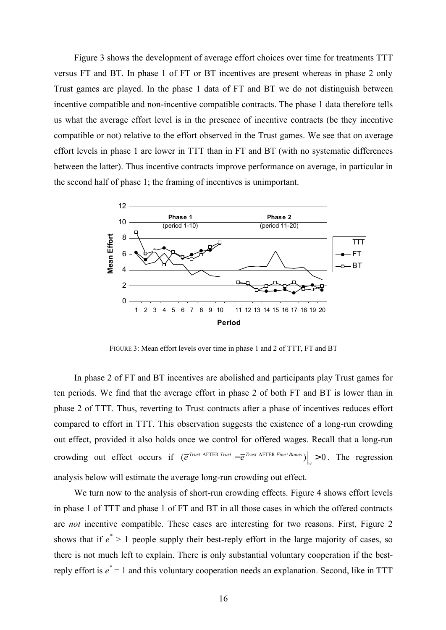Figure 3 shows the development of average effort choices over time for treatments TTT versus FT and BT. In phase 1 of FT or BT incentives are present whereas in phase 2 only Trust games are played. In the phase 1 data of FT and BT we do not distinguish between incentive compatible and non-incentive compatible contracts. The phase 1 data therefore tells us what the average effort level is in the presence of incentive contracts (be they incentive compatible or not) relative to the effort observed in the Trust games. We see that on average effort levels in phase 1 are lower in TTT than in FT and BT (with no systematic differences between the latter). Thus incentive contracts improve performance on average, in particular in the second half of phase 1; the framing of incentives is unimportant.



FIGURE 3: Mean effort levels over time in phase 1 and 2 of TTT, FT and BT

In phase 2 of FT and BT incentives are abolished and participants play Trust games for ten periods. We find that the average effort in phase 2 of both FT and BT is lower than in phase 2 of TTT. Thus, reverting to Trust contracts after a phase of incentives reduces effort compared to effort in TTT. This observation suggests the existence of a long-run crowding out effect, provided it also holds once we control for offered wages. Recall that a long-run crowding out effect occurs if  $\left(\overline{e}^{Trust \text{ AFTER Trust}} - \overline{e}^{Trust \text{ AFTER Fine/Bonus}}\right) > 0$  $\left. e^{T \text{rust AFIER Trust}} - \overline{e}^{T \text{rust AFIER Fine/Bonus}} \right|_w > 0$ . The regression analysis below will estimate the average long-run crowding out effect.

We turn now to the analysis of short-run crowding effects. Figure 4 shows effort levels in phase 1 of TTT and phase 1 of FT and BT in all those cases in which the offered contracts are *not* incentive compatible. These cases are interesting for two reasons. First, Figure 2 shows that if  $e^*$  > 1 people supply their best-reply effort in the large majority of cases, so there is not much left to explain. There is only substantial voluntary cooperation if the bestreply effort is *e \** = 1 and this voluntary cooperation needs an explanation. Second, like in TTT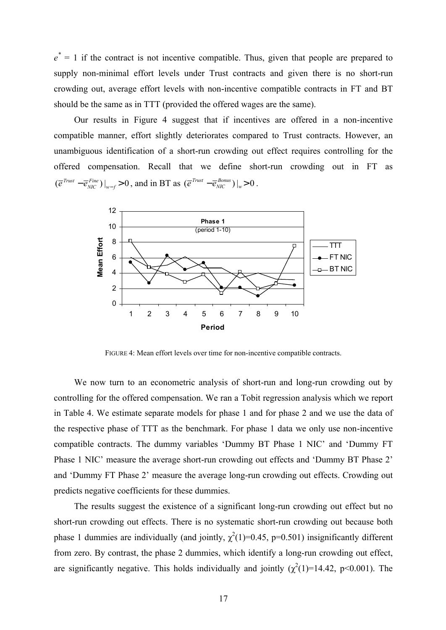$e^* = 1$  if the contract is not incentive compatible. Thus, given that people are prepared to supply non-minimal effort levels under Trust contracts and given there is no short-run crowding out, average effort levels with non-incentive compatible contracts in FT and BT should be the same as in TTT (provided the offered wages are the same).

Our results in Figure 4 suggest that if incentives are offered in a non-incentive compatible manner, effort slightly deteriorates compared to Trust contracts. However, an unambiguous identification of a short-run crowding out effect requires controlling for the offered compensation. Recall that we define short-run crowding out in FT as  $(\overline{e}^{Trust} - \overline{e}_{NIC}^{Fine}) \big|_{w-f} > 0$  $\left. e^{T \cdot x} - e^{F \cdot i n e}_{NIC} \right) \right|_{w-f} > 0$ , and in BT as  $\left. \left( e^{T \cdot x} - e^{B \cdot i n e}_{NIC} \right) \right|_{w} > 0$  $\overline{e}^{Trust} - \overline{e}^{Bonus}_{NIC}$ ) |<sub>w</sub> > 0.



FIGURE 4: Mean effort levels over time for non-incentive compatible contracts.

We now turn to an econometric analysis of short-run and long-run crowding out by controlling for the offered compensation. We ran a Tobit regression analysis which we report in Table 4. We estimate separate models for phase 1 and for phase 2 and we use the data of the respective phase of TTT as the benchmark. For phase 1 data we only use non-incentive compatible contracts. The dummy variables 'Dummy BT Phase 1 NIC' and 'Dummy FT Phase 1 NIC' measure the average short-run crowding out effects and 'Dummy BT Phase 2' and 'Dummy FT Phase 2' measure the average long-run crowding out effects. Crowding out predicts negative coefficients for these dummies.

The results suggest the existence of a significant long-run crowding out effect but no short-run crowding out effects. There is no systematic short-run crowding out because both phase 1 dummies are individually (and jointly,  $\chi^2(1)=0.45$ , p=0.501) insignificantly different from zero. By contrast, the phase 2 dummies, which identify a long-run crowding out effect, are significantly negative. This holds individually and jointly  $(\chi^2(1)=14.42, p<0.001)$ . The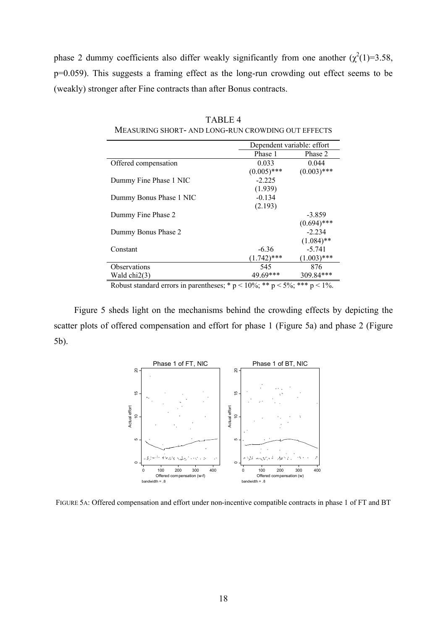phase 2 dummy coefficients also differ weakly significantly from one another  $(\chi^2(1)=3.58,$ p=0.059). This suggests a framing effect as the long-run crowding out effect seems to be (weakly) stronger after Fine contracts than after Bonus contracts.

|                         | Dependent variable: effort |               |
|-------------------------|----------------------------|---------------|
|                         | Phase 1                    | Phase 2       |
| Offered compensation    | 0.033                      | 0.044         |
|                         | $(0.005)$ ***              | $(0.003)$ *** |
| Dummy Fine Phase 1 NIC  | $-2.225$                   |               |
|                         | (1.939)                    |               |
| Dummy Bonus Phase 1 NIC | $-0.134$                   |               |
|                         | (2.193)                    |               |
| Dummy Fine Phase 2      |                            | $-3.859$      |
|                         |                            | $(0.694)$ *** |
| Dummy Bonus Phase 2     |                            | $-2.234$      |
|                         |                            | $(1.084)$ **  |
| Constant                | $-6.36$                    | $-5.741$      |
|                         | $(1.742)$ ***              | $(1.003)$ *** |
| <b>Observations</b>     | 545                        | 876           |
| Wald $chi2(3)$          | 49.69***                   | 309.84***     |

TABLE 4 MEASURING SHORT- AND LONG-RUN CROWDING OUT EFFECTS

Robust standard errors in parentheses; \*  $p < 10\%$ ; \*\*  $p < 5\%$ ; \*\*\*  $p < 1\%$ .

Figure 5 sheds light on the mechanisms behind the crowding effects by depicting the scatter plots of offered compensation and effort for phase 1 (Figure 5a) and phase 2 (Figure 5b).



FIGURE 5A: Offered compensation and effort under non-incentive compatible contracts in phase 1 of FT and BT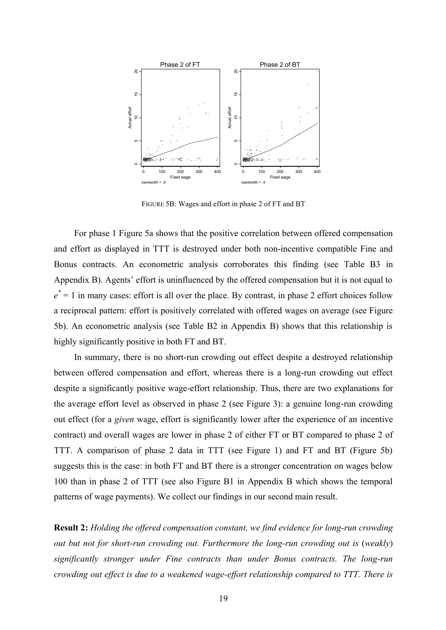

FIGURE 5B: Wages and effort in phase 2 of FT and BT

For phase 1 Figure 5a shows that the positive correlation between offered compensation and effort as displayed in TTT is destroyed under both non-incentive compatible Fine and Bonus contracts. An econometric analysis corroborates this finding (see Table B3 in Appendix B). Agents' effort is uninfluenced by the offered compensation but it is not equal to  $e^* = 1$  in many cases: effort is all over the place. By contrast, in phase 2 effort choices follow a reciprocal pattern: effort is positively correlated with offered wages on average (see Figure 5b). An econometric analysis (see Table B2 in Appendix B) shows that this relationship is highly significantly positive in both FT and BT.

In summary, there is no short-run crowding out effect despite a destroyed relationship between offered compensation and effort, whereas there is a long-run crowding out effect despite a significantly positive wage-effort relationship. Thus, there are two explanations for the average effort level as observed in phase 2 (see Figure 3): a genuine long-run crowding out effect (for a *given* wage, effort is significantly lower after the experience of an incentive contract) and overall wages are lower in phase 2 of either FT or BT compared to phase 2 of TTT. A comparison of phase 2 data in TTT (see Figure 1) and FT and BT (Figure 5b) suggests this is the case: in both FT and BT there is a stronger concentration on wages below 100 than in phase 2 of TTT (see also Figure B1 in Appendix B which shows the temporal patterns of wage payments). We collect our findings in our second main result.

**Result 2:** *Holding the offered compensation constant, we find evidence for long-run crowding out but not for short-run crowding out. Furthermore the long-run crowding out is* (*weakly*) *significantly stronger under Fine contracts than under Bonus contracts. The long-run crowding out effect is due to a weakened wage-effort relationship compared to TTT. There is*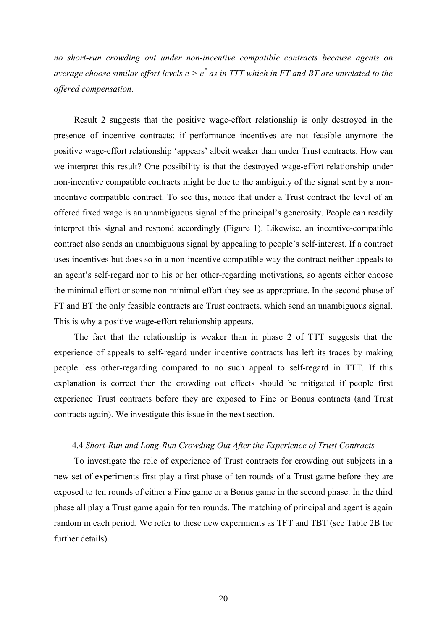*no short-run crowding out under non-incentive compatible contracts because agents on average choose similar effort levels e > e\* as in TTT which in FT and BT are unrelated to the offered compensation.* 

Result 2 suggests that the positive wage-effort relationship is only destroyed in the presence of incentive contracts; if performance incentives are not feasible anymore the positive wage-effort relationship 'appears' albeit weaker than under Trust contracts. How can we interpret this result? One possibility is that the destroyed wage-effort relationship under non-incentive compatible contracts might be due to the ambiguity of the signal sent by a nonincentive compatible contract. To see this, notice that under a Trust contract the level of an offered fixed wage is an unambiguous signal of the principal's generosity. People can readily interpret this signal and respond accordingly (Figure 1). Likewise, an incentive-compatible contract also sends an unambiguous signal by appealing to people's self-interest. If a contract uses incentives but does so in a non-incentive compatible way the contract neither appeals to an agent's self-regard nor to his or her other-regarding motivations, so agents either choose the minimal effort or some non-minimal effort they see as appropriate. In the second phase of FT and BT the only feasible contracts are Trust contracts, which send an unambiguous signal. This is why a positive wage-effort relationship appears.

The fact that the relationship is weaker than in phase 2 of TTT suggests that the experience of appeals to self-regard under incentive contracts has left its traces by making people less other-regarding compared to no such appeal to self-regard in TTT. If this explanation is correct then the crowding out effects should be mitigated if people first experience Trust contracts before they are exposed to Fine or Bonus contracts (and Trust contracts again). We investigate this issue in the next section.

#### 4.4 *Short-Run and Long-Run Crowding Out After the Experience of Trust Contracts*

To investigate the role of experience of Trust contracts for crowding out subjects in a new set of experiments first play a first phase of ten rounds of a Trust game before they are exposed to ten rounds of either a Fine game or a Bonus game in the second phase. In the third phase all play a Trust game again for ten rounds. The matching of principal and agent is again random in each period. We refer to these new experiments as TFT and TBT (see Table 2B for further details).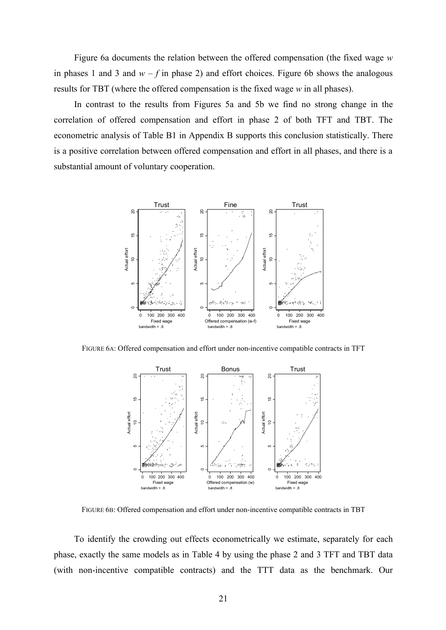Figure 6a documents the relation between the offered compensation (the fixed wage *w* in phases 1 and 3 and  $w - f$  in phase 2) and effort choices. Figure 6b shows the analogous results for TBT (where the offered compensation is the fixed wage *w* in all phases).

In contrast to the results from Figures 5a and 5b we find no strong change in the correlation of offered compensation and effort in phase 2 of both TFT and TBT. The econometric analysis of Table B1 in Appendix B supports this conclusion statistically. There is a positive correlation between offered compensation and effort in all phases, and there is a substantial amount of voluntary cooperation.



FIGURE 6A: Offered compensation and effort under non-incentive compatible contracts in TFT



FIGURE 6B: Offered compensation and effort under non-incentive compatible contracts in TBT

To identify the crowding out effects econometrically we estimate, separately for each phase, exactly the same models as in Table 4 by using the phase 2 and 3 TFT and TBT data (with non-incentive compatible contracts) and the TTT data as the benchmark. Our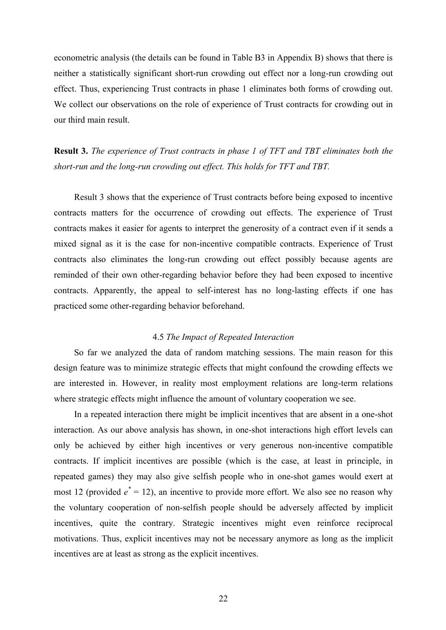econometric analysis (the details can be found in Table B3 in Appendix B) shows that there is neither a statistically significant short-run crowding out effect nor a long-run crowding out effect. Thus, experiencing Trust contracts in phase 1 eliminates both forms of crowding out. We collect our observations on the role of experience of Trust contracts for crowding out in our third main result.

**Result 3.** *The experience of Trust contracts in phase 1 of TFT and TBT eliminates both the short-run and the long-run crowding out effect. This holds for TFT and TBT.* 

Result 3 shows that the experience of Trust contracts before being exposed to incentive contracts matters for the occurrence of crowding out effects. The experience of Trust contracts makes it easier for agents to interpret the generosity of a contract even if it sends a mixed signal as it is the case for non-incentive compatible contracts. Experience of Trust contracts also eliminates the long-run crowding out effect possibly because agents are reminded of their own other-regarding behavior before they had been exposed to incentive contracts. Apparently, the appeal to self-interest has no long-lasting effects if one has practiced some other-regarding behavior beforehand.

## 4.5 *The Impact of Repeated Interaction*

So far we analyzed the data of random matching sessions. The main reason for this design feature was to minimize strategic effects that might confound the crowding effects we are interested in. However, in reality most employment relations are long-term relations where strategic effects might influence the amount of voluntary cooperation we see.

In a repeated interaction there might be implicit incentives that are absent in a one-shot interaction. As our above analysis has shown, in one-shot interactions high effort levels can only be achieved by either high incentives or very generous non-incentive compatible contracts. If implicit incentives are possible (which is the case, at least in principle, in repeated games) they may also give selfish people who in one-shot games would exert at most 12 (provided  $e^* = 12$ ), an incentive to provide more effort. We also see no reason why the voluntary cooperation of non-selfish people should be adversely affected by implicit incentives, quite the contrary. Strategic incentives might even reinforce reciprocal motivations. Thus, explicit incentives may not be necessary anymore as long as the implicit incentives are at least as strong as the explicit incentives.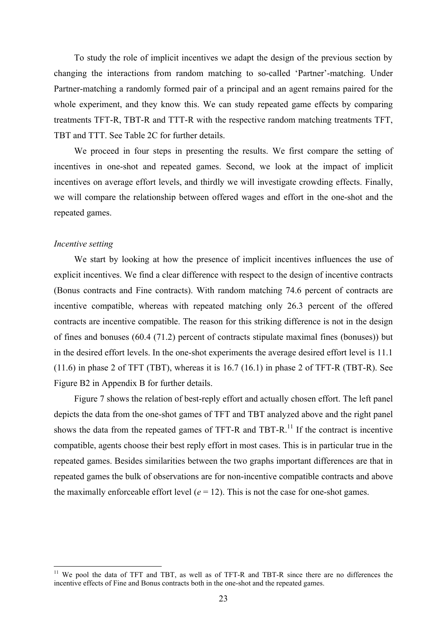To study the role of implicit incentives we adapt the design of the previous section by changing the interactions from random matching to so-called 'Partner'-matching. Under Partner-matching a randomly formed pair of a principal and an agent remains paired for the whole experiment, and they know this. We can study repeated game effects by comparing treatments TFT-R, TBT-R and TTT-R with the respective random matching treatments TFT, TBT and TTT. See Table 2C for further details.

We proceed in four steps in presenting the results. We first compare the setting of incentives in one-shot and repeated games. Second, we look at the impact of implicit incentives on average effort levels, and thirdly we will investigate crowding effects. Finally, we will compare the relationship between offered wages and effort in the one-shot and the repeated games.

#### *Incentive setting*

 $\overline{a}$ 

We start by looking at how the presence of implicit incentives influences the use of explicit incentives. We find a clear difference with respect to the design of incentive contracts (Bonus contracts and Fine contracts). With random matching 74.6 percent of contracts are incentive compatible, whereas with repeated matching only 26.3 percent of the offered contracts are incentive compatible. The reason for this striking difference is not in the design of fines and bonuses (60.4 (71.2) percent of contracts stipulate maximal fines (bonuses)) but in the desired effort levels. In the one-shot experiments the average desired effort level is 11.1 (11.6) in phase 2 of TFT (TBT), whereas it is 16.7 (16.1) in phase 2 of TFT-R (TBT-R). See Figure B2 in Appendix B for further details.

Figure 7 shows the relation of best-reply effort and actually chosen effort. The left panel depicts the data from the one-shot games of TFT and TBT analyzed above and the right panel shows the data from the repeated games of TFT-R and TBT-R.<sup>11</sup> If the contract is incentive compatible, agents choose their best reply effort in most cases. This is in particular true in the repeated games. Besides similarities between the two graphs important differences are that in repeated games the bulk of observations are for non-incentive compatible contracts and above the maximally enforceable effort level  $(e = 12)$ . This is not the case for one-shot games.

<sup>&</sup>lt;sup>11</sup> We pool the data of TFT and TBT, as well as of TFT-R and TBT-R since there are no differences the incentive effects of Fine and Bonus contracts both in the one-shot and the repeated games.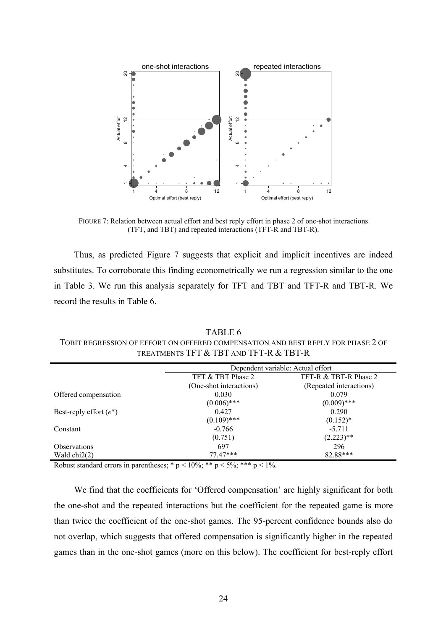

FIGURE 7: Relation between actual effort and best reply effort in phase 2 of one-shot interactions (TFT, and TBT) and repeated interactions (TFT-R and TBT-R).

Thus, as predicted Figure 7 suggests that explicit and implicit incentives are indeed substitutes. To corroborate this finding econometrically we run a regression similar to the one in Table 3. We run this analysis separately for TFT and TBT and TFT-R and TBT-R. We record the results in Table 6.

|                           | TOBIT REGRESSION OF EFFORT ON OFFERED COMPENSATION AND BEST REPLY FOR PHASE Z OF<br>TREATMENTS TFT & TBT AND TFT-R & TBT-R |                                   |
|---------------------------|----------------------------------------------------------------------------------------------------------------------------|-----------------------------------|
|                           |                                                                                                                            | Dependent variable: Actual effort |
|                           | TFT & TBT Phase 2                                                                                                          | TFT-R & TBT-R Phase 2             |
|                           | (One-shot interactions)                                                                                                    | (Repeated interactions)           |
| Offered compensation      | 0.030                                                                                                                      | 0.079                             |
|                           | $(0.006)$ ***                                                                                                              | $(0.009)$ ***                     |
| Best-reply effort $(e^*)$ | 0.427                                                                                                                      | 0.290                             |
|                           | $(0.109)$ ***                                                                                                              | $(0.152)$ *                       |
| Constant                  | $-0.766$                                                                                                                   | $-5.711$                          |

Observations 697 296 Wald chi2(2) 77.47\*\*\* 82.88\*\*\* 83.88 88 89.88 88 89.88 89.88 89.88 89.88 89.88 89.88 89.88 89.88 89.88 89.88 89.88 89.88 89.88 89.88 89.88 89.88 89.88 89.88 89.88 89.88 89.88 89.88 89.88 89.88 89.88 89.88 89.88 89.88 89.88

 $(0.751)$   $(2.223)$ <sup>\*\*</sup>

TABLE 6  $T$  a tion and degt dedi v cod bilage  $2$  of

Robust standard errors in parentheses; \*  $p < 10\%$ ; \*\*  $p < 5\%$ ; \*\*\*  $p < 1\%$ .

We find that the coefficients for 'Offered compensation' are highly significant for both the one-shot and the repeated interactions but the coefficient for the repeated game is more than twice the coefficient of the one-shot games. The 95-percent confidence bounds also do not overlap, which suggests that offered compensation is significantly higher in the repeated games than in the one-shot games (more on this below). The coefficient for best-reply effort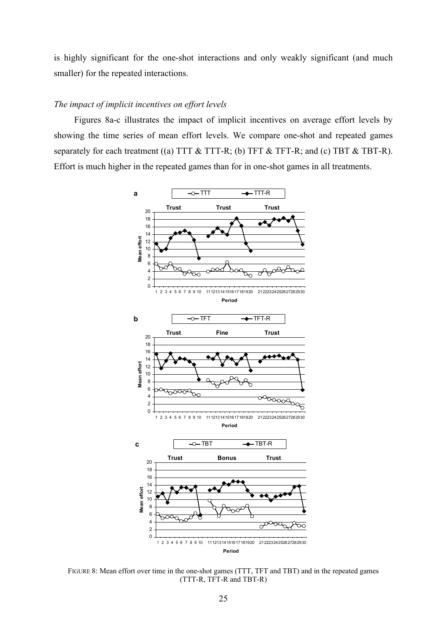is highly significant for the one-shot interactions and only weakly significant (and much smaller) for the repeated interactions.

#### *The impact of implicit incentives on effort levels*

Figures 8a-c illustrates the impact of implicit incentives on average effort levels by showing the time series of mean effort levels. We compare one-shot and repeated games separately for each treatment ((a) TTT  $\&$  TTT-R; (b) TFT  $\&$  TFT-R; and (c) TBT  $\&$  TBT-R). Effort is much higher in the repeated games than for in one-shot games in all treatments.



FIGURE 8: Mean effort over time in the one-shot games (TTT, TFT and TBT) and in the repeated games (TTT-R, TFT-R and TBT-R)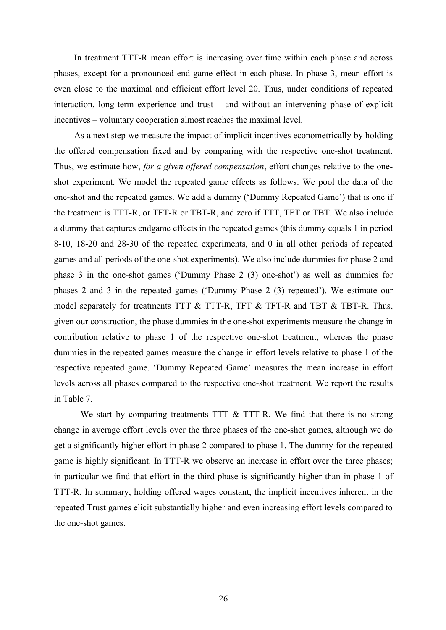In treatment TTT-R mean effort is increasing over time within each phase and across phases, except for a pronounced end-game effect in each phase. In phase 3, mean effort is even close to the maximal and efficient effort level 20. Thus, under conditions of repeated interaction, long-term experience and trust – and without an intervening phase of explicit incentives – voluntary cooperation almost reaches the maximal level.

As a next step we measure the impact of implicit incentives econometrically by holding the offered compensation fixed and by comparing with the respective one-shot treatment. Thus, we estimate how, *for a given offered compensation*, effort changes relative to the oneshot experiment. We model the repeated game effects as follows. We pool the data of the one-shot and the repeated games. We add a dummy ('Dummy Repeated Game') that is one if the treatment is TTT-R, or TFT-R or TBT-R, and zero if TTT, TFT or TBT. We also include a dummy that captures endgame effects in the repeated games (this dummy equals 1 in period 8-10, 18-20 and 28-30 of the repeated experiments, and 0 in all other periods of repeated games and all periods of the one-shot experiments). We also include dummies for phase 2 and phase 3 in the one-shot games ('Dummy Phase 2 (3) one-shot') as well as dummies for phases 2 and 3 in the repeated games ('Dummy Phase 2 (3) repeated'). We estimate our model separately for treatments TTT  $&$  TTT-R, TFT  $&$  TFT-R and TBT  $&$  TBT-R. Thus, given our construction, the phase dummies in the one-shot experiments measure the change in contribution relative to phase 1 of the respective one-shot treatment, whereas the phase dummies in the repeated games measure the change in effort levels relative to phase 1 of the respective repeated game. 'Dummy Repeated Game' measures the mean increase in effort levels across all phases compared to the respective one-shot treatment. We report the results in Table 7.

We start by comparing treatments TTT & TTT-R. We find that there is no strong change in average effort levels over the three phases of the one-shot games, although we do get a significantly higher effort in phase 2 compared to phase 1. The dummy for the repeated game is highly significant. In TTT-R we observe an increase in effort over the three phases; in particular we find that effort in the third phase is significantly higher than in phase 1 of TTT-R. In summary, holding offered wages constant, the implicit incentives inherent in the repeated Trust games elicit substantially higher and even increasing effort levels compared to the one-shot games.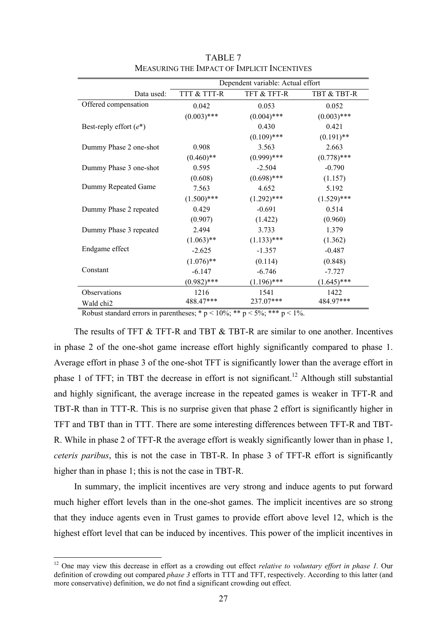|                           | Dependent variable: Actual effort |               |               |  |
|---------------------------|-----------------------------------|---------------|---------------|--|
| Data used:                | TTT & TTT-R                       | TFT & TFT-R   | TBT & TBT-R   |  |
| Offered compensation      | 0.042                             | 0.053         | 0.052         |  |
|                           | $(0.003)$ ***                     | $(0.004)$ *** | $(0.003)$ *** |  |
| Best-reply effort $(e^*)$ |                                   | 0.430         | 0.421         |  |
|                           |                                   | $(0.109)$ *** | $(0.191)$ **  |  |
| Dummy Phase 2 one-shot    | 0.908                             | 3.563         | 2.663         |  |
|                           | $(0.460)$ **                      | $(0.999)$ *** | $(0.778)$ *** |  |
| Dummy Phase 3 one-shot    | 0.595                             | $-2.504$      | $-0.790$      |  |
|                           | (0.608)                           | $(0.698)$ *** | (1.157)       |  |
| Dummy Repeated Game       | 7.563                             | 4.652         | 5.192         |  |
|                           | $(1.500)$ ***                     | $(1.292)$ *** | $(1.529)$ *** |  |
| Dummy Phase 2 repeated    | 0.429                             | $-0.691$      | 0.514         |  |
|                           | (0.907)                           | (1.422)       | (0.960)       |  |
| Dummy Phase 3 repeated    | 2.494                             | 3.733         | 1.379         |  |
|                           | $(1.063)$ **                      | $(1.133)$ *** | (1.362)       |  |
| Endgame effect            | $-2.625$                          | $-1.357$      | $-0.487$      |  |
|                           | $(1.076)$ **                      | (0.114)       | (0.848)       |  |
| Constant                  | $-6.147$                          | $-6.746$      | $-7.727$      |  |
|                           | $(0.982)$ ***                     | $(1.196)$ *** | $(1.645)$ *** |  |
| Observations              | 1216                              | 1541          | 1422          |  |
| Wald chi <sub>2</sub>     | 488.47***                         | 237.07***     | 484.97***     |  |

TABLE 7 MEASURING THE IMPACT OF IMPLICIT INCENTIVES

Robust standard errors in parentheses; \*  $p < 10\%$ ; \*\*  $p < 5\%$ ; \*\*\*  $p < 1\%$ .

The results of TFT & TFT-R and TBT & TBT-R are similar to one another. Incentives in phase 2 of the one-shot game increase effort highly significantly compared to phase 1. Average effort in phase 3 of the one-shot TFT is significantly lower than the average effort in phase 1 of TFT; in TBT the decrease in effort is not significant.<sup>12</sup> Although still substantial and highly significant, the average increase in the repeated games is weaker in TFT-R and TBT-R than in TTT-R. This is no surprise given that phase 2 effort is significantly higher in TFT and TBT than in TTT. There are some interesting differences between TFT-R and TBT-R. While in phase 2 of TFT-R the average effort is weakly significantly lower than in phase 1, *ceteris paribus*, this is not the case in TBT-R. In phase 3 of TFT-R effort is significantly higher than in phase 1; this is not the case in TBT-R.

In summary, the implicit incentives are very strong and induce agents to put forward much higher effort levels than in the one-shot games. The implicit incentives are so strong that they induce agents even in Trust games to provide effort above level 12, which is the highest effort level that can be induced by incentives. This power of the implicit incentives in

 $\overline{a}$ 

<sup>&</sup>lt;sup>12</sup> One may view this decrease in effort as a crowding out effect *relative to voluntary effort in phase 1*. Our definition of crowding out compared *phase 3* efforts in TTT and TFT, respectively. According to this latter (and more conservative) definition, we do not find a significant crowding out effect.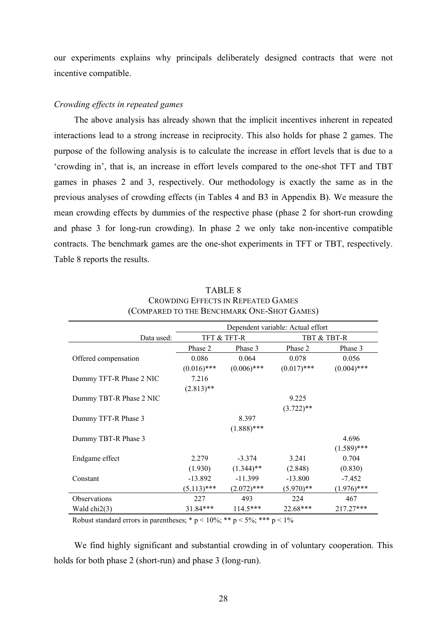our experiments explains why principals deliberately designed contracts that were not incentive compatible.

#### *Crowding effects in repeated games*

The above analysis has already shown that the implicit incentives inherent in repeated interactions lead to a strong increase in reciprocity. This also holds for phase 2 games. The purpose of the following analysis is to calculate the increase in effort levels that is due to a 'crowding in', that is, an increase in effort levels compared to the one-shot TFT and TBT games in phases 2 and 3, respectively. Our methodology is exactly the same as in the previous analyses of crowding effects (in Tables 4 and B3 in Appendix B). We measure the mean crowding effects by dummies of the respective phase (phase 2 for short-run crowding and phase 3 for long-run crowding). In phase 2 we only take non-incentive compatible contracts. The benchmark games are the one-shot experiments in TFT or TBT, respectively. Table 8 reports the results.

|                         | Dependent variable: Actual effort |               |               |               |
|-------------------------|-----------------------------------|---------------|---------------|---------------|
| Data used:              |                                   | TFT & TFT-R   |               | TBT & TBT-R   |
|                         | Phase 2                           | Phase 3       | Phase 2       | Phase 3       |
| Offered compensation    | 0.086                             | 0.064         | 0.078         | 0.056         |
|                         | $(0.016)$ ***                     | $(0.006)$ *** | $(0.017)$ *** | $(0.004)$ *** |
| Dummy TFT-R Phase 2 NIC | 7.216                             |               |               |               |
|                         | $(2.813)$ **                      |               |               |               |
| Dummy TBT-R Phase 2 NIC |                                   |               | 9.225         |               |
|                         |                                   |               | $(3.722)$ **  |               |
| Dummy TFT-R Phase 3     |                                   | 8.397         |               |               |
|                         |                                   | $(1.888)$ *** |               |               |
| Dummy TBT-R Phase 3     |                                   |               |               | 4.696         |
|                         |                                   |               |               | $(1.589)$ *** |
| Endgame effect          | 2.279                             | $-3.374$      | 3.241         | 0.704         |
|                         | (1.930)                           | $(1.344)$ **  | (2.848)       | (0.830)       |
| Constant                | $-13.892$                         | $-11.399$     | $-13.800$     | $-7.452$      |
|                         | $(5.113)$ ***                     | $(2.072)$ *** | $(5.970)**$   | $(1.976)$ *** |
| <b>Observations</b>     | 227                               | 493           | 224           | 467           |
| Wald $chi2(3)$          | 31.84***                          | $114.5***$    | 22.68***      | 217.27***     |

## TABLE 8 CROWDING EFFECTS IN REPEATED GAMES (COMPARED TO THE BENCHMARK ONE-SHOT GAMES)

Robust standard errors in parentheses; \*  $p < 10\%$ ; \*\*  $p < 5\%$ ; \*\*\*  $p < 1\%$ 

We find highly significant and substantial crowding in of voluntary cooperation. This holds for both phase 2 (short-run) and phase 3 (long-run).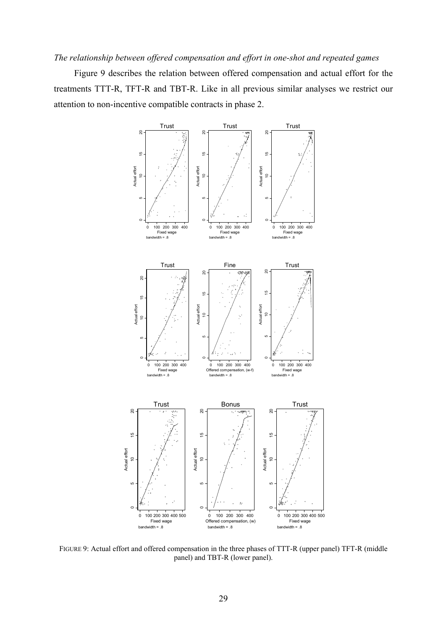## *The relationship between offered compensation and effort in one-shot and repeated games*

Figure 9 describes the relation between offered compensation and actual effort for the treatments TTT-R, TFT-R and TBT-R. Like in all previous similar analyses we restrict our attention to non-incentive compatible contracts in phase 2.



FIGURE 9: Actual effort and offered compensation in the three phases of TTT-R (upper panel) TFT-R (middle panel) and TBT-R (lower panel).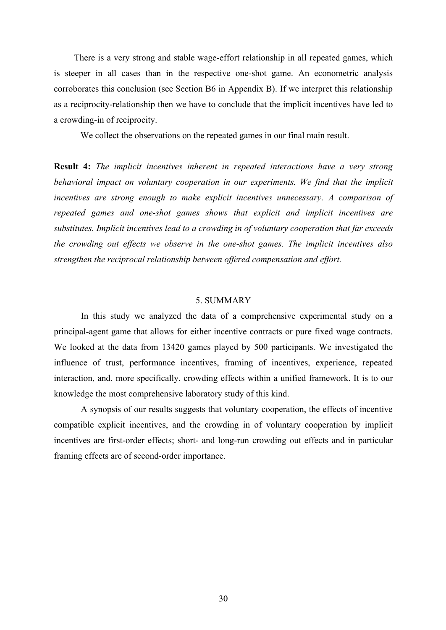There is a very strong and stable wage-effort relationship in all repeated games, which is steeper in all cases than in the respective one-shot game. An econometric analysis corroborates this conclusion (see Section B6 in Appendix B). If we interpret this relationship as a reciprocity-relationship then we have to conclude that the implicit incentives have led to a crowding-in of reciprocity.

We collect the observations on the repeated games in our final main result.

**Result 4:** *The implicit incentives inherent in repeated interactions have a very strong behavioral impact on voluntary cooperation in our experiments. We find that the implicit incentives are strong enough to make explicit incentives unnecessary. A comparison of repeated games and one-shot games shows that explicit and implicit incentives are substitutes. Implicit incentives lead to a crowding in of voluntary cooperation that far exceeds the crowding out effects we observe in the one-shot games. The implicit incentives also strengthen the reciprocal relationship between offered compensation and effort.* 

#### 5. SUMMARY

In this study we analyzed the data of a comprehensive experimental study on a principal-agent game that allows for either incentive contracts or pure fixed wage contracts. We looked at the data from 13420 games played by 500 participants. We investigated the influence of trust, performance incentives, framing of incentives, experience, repeated interaction, and, more specifically, crowding effects within a unified framework. It is to our knowledge the most comprehensive laboratory study of this kind.

A synopsis of our results suggests that voluntary cooperation, the effects of incentive compatible explicit incentives, and the crowding in of voluntary cooperation by implicit incentives are first-order effects; short- and long-run crowding out effects and in particular framing effects are of second-order importance.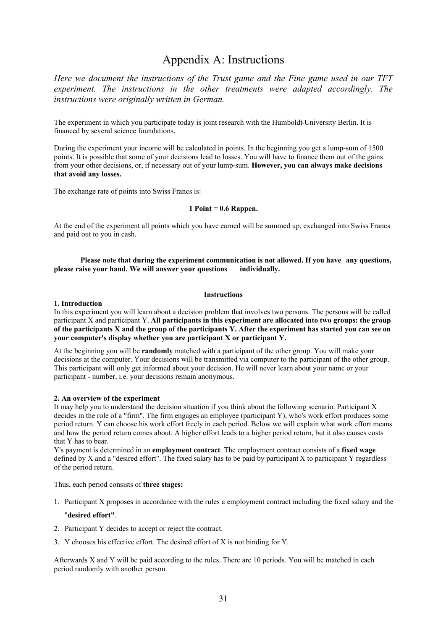## Appendix A: Instructions

*Here we document the instructions of the Trust game and the Fine game used in our TFT experiment. The instructions in the other treatments were adapted accordingly. The instructions were originally written in German.*

The experiment in which you participate today is joint research with the Humboldt-University Berlin. It is financed by several science foundations.

During the experiment your income will be calculated in points. In the beginning you get a lump-sum of 1500 points. It is possible that some of your decisions lead to losses. You will have to finance them out of the gains from your other decisions, or, if necessary out of your lump-sum. **However, you can always make decisions that avoid any losses.** 

The exchange rate of points into Swiss Francs is:

#### **1 Point = 0.6 Rappen.**

At the end of the experiment all points which you have earned will be summed up, exchanged into Swiss Francs and paid out to you in cash.

#### **Please note that during the experiment communication is not allowed. If you have any questions, please raise your hand. We will answer your questions individually.**

#### **Instructions**

#### **1. Introduction**

In this experiment you will learn about a decision problem that involves two persons. The persons will be called participant X and participant Y. **All participants in this experiment are allocated into two groups: the group of the participants X and the group of the participants Y. After the experiment has started you can see on your computer's display whether you are participant X or participant Y.** 

At the beginning you will be **randomly** matched with a participant of the other group. You will make your decisions at the computer. Your decisions will be transmitted via computer to the participant of the other group. This participant will only get informed about your decision. He will never learn about your name or your participant - number, i.e. your decisions remain anonymous.

#### **2. An overview of the experiment**

It may help you to understand the decision situation if you think about the following scenario. Participant X decides in the role of a "firm". The firm engages an employee (participant Y), who's work effort produces some period return. Y can choose his work effort freely in each period. Below we will explain what work effort means and how the period return comes about. A higher effort leads to a higher period return, but it also causes costs that Y has to bear.

Y's payment is determined in an **employment contract**. The employment contract consists of a **fixed wage** defined by X and a "desired effort". The fixed salary has to be paid by participant X to participant Y regardless of the period return.

Thus, each period consists of **three stages:**

1. Participant X proposes in accordance with the rules a employment contract including the fixed salary and the

#### "**desired effort"**.

- 2. Participant Y decides to accept or reject the contract.
- 3. Y chooses his effective effort. The desired effort of X is not binding for Y.

Afterwards X and Y will be paid according to the rules. There are 10 periods. You will be matched in each period randomly with another person.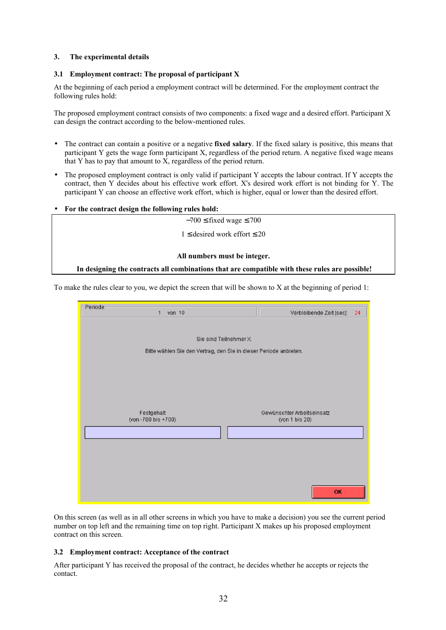#### **3. The experimental details**

#### **3.1 Employment contract: The proposal of participant X**

At the beginning of each period a employment contract will be determined. For the employment contract the following rules hold:

The proposed employment contract consists of two components: a fixed wage and a desired effort. Participant X can design the contract according to the below-mentioned rules.

- The contract can contain a positive or a negative **fixed salary**. If the fixed salary is positive, this means that participant Y gets the wage form participant X, regardless of the period return. A negative fixed wage means that Y has to pay that amount to  $\overline{X}$ , regardless of the period return.
- The proposed employment contract is only valid if participant Y accepts the labour contract. If Y accepts the contract, then Y decides about his effective work effort. X's desired work effort is not binding for Y. The participant Y can choose an effective work effort, which is higher, equal or lower than the desired effort.
- **For the contract design the following rules hold:**

 $-700 \leq$  fixed wage  $\leq 700$ 

 $1 ≤$  desired work effort  $≤$  20

#### **All numbers must be integer.**

#### **In designing the contracts all combinations that are compatible with these rules are possible!**

To make the rules clear to you, we depict the screen that will be shown to X at the beginning of period 1:



On this screen (as well as in all other screens in which you have to make a decision) you see the current period number on top left and the remaining time on top right. Participant X makes up his proposed employment contract on this screen.

#### **3.2 Employment contract: Acceptance of the contract**

After participant Y has received the proposal of the contract, he decides whether he accepts or rejects the contact.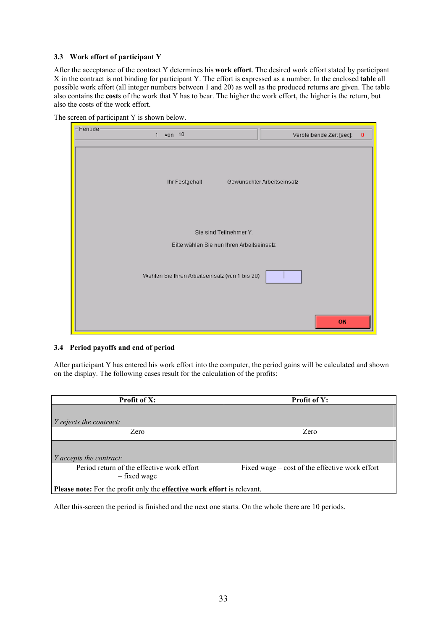#### **3.3 Work effort of participant Y**

After the acceptance of the contract Y determines his **work effort**. The desired work effort stated by participant X in the contract is not binding for participant Y. The effort is expressed as a number. In the enclosed **table** all possible work effort (all integer numbers between 1 and 20) as well as the produced returns are given. The table also contains the **cost**s of the work that Y has to bear. The higher the work effort, the higher is the return, but also the costs of the work effort.

| Periode | von $10$<br>1                                  | Verbleibende Zeit [sec]:<br>0 |
|---------|------------------------------------------------|-------------------------------|
|         | Ihr Festgehalt                                 | Gewünschter Arbeitseinsatz    |
|         | Sie sind Teilnehmer Y.                         |                               |
|         | Bitte wählen Sie nun Ihren Arbeitseinsatz      |                               |
|         | Wählen Sie Ihren Arbeitseinsatz (von 1 bis 20) |                               |
|         |                                                | OK                            |

#### The screen of participant Y is shown below.

#### **3.4 Period payoffs and end of period**

After participant Y has entered his work effort into the computer, the period gains will be calculated and shown on the display. The following cases result for the calculation of the profits:

| <b>Profit of X:</b>                                                            | <b>Profit of Y:</b>                            |  |  |  |
|--------------------------------------------------------------------------------|------------------------------------------------|--|--|--|
|                                                                                |                                                |  |  |  |
| <i>Y rejects the contract:</i>                                                 |                                                |  |  |  |
| Zero                                                                           | Zero                                           |  |  |  |
|                                                                                |                                                |  |  |  |
| $Y$ accepts the contract:                                                      |                                                |  |  |  |
| Period return of the effective work effort<br>- fixed wage                     | Fixed wage – cost of the effective work effort |  |  |  |
| Please note: For the profit only the <b>effective</b> work effort is relevant. |                                                |  |  |  |

After this-screen the period is finished and the next one starts. On the whole there are 10 periods.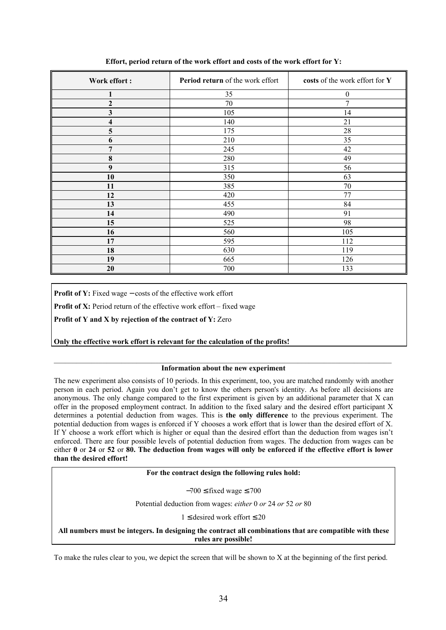| Work effort:            | Period return of the work effort | costs of the work effort for Y |
|-------------------------|----------------------------------|--------------------------------|
| 1                       | 35                               | $\boldsymbol{0}$               |
| $\boldsymbol{2}$        | 70                               | 7                              |
| $\overline{\mathbf{3}}$ | 105                              | 14                             |
| 4                       | 140                              | 21                             |
| 5                       | 175                              | 28                             |
| 6                       | 210                              | 35                             |
| 7                       | 245                              | 42                             |
| $\bf{8}$                | 280                              | 49                             |
| $\boldsymbol{9}$        | 315                              | 56                             |
| 10                      | 350                              | 63                             |
| 11                      | 385                              | 70                             |
| 12                      | 420                              | 77                             |
| 13                      | 455                              | 84                             |
| 14                      | 490                              | 91                             |
| 15                      | 525                              | 98                             |
| 16                      | 560                              | 105                            |
| 17                      | 595                              | 112                            |
| 18                      | 630                              | 119                            |
| 19                      | 665                              | 126                            |
| 20                      | 700                              | 133                            |

**Effort, period return of the work effort and costs of the work effort for Y:** 

Profit of Y: Fixed wage – costs of the effective work effort

**Profit of X:** Period return of the effective work effort – fixed wage

**Profit of Y and X by rejection of the contract of Y:** Zero

**Only the effective work effort is relevant for the calculation of the profits!**

#### $\mathcal{L}_\mathcal{L} = \{ \mathcal{L}_\mathcal{L} = \{ \mathcal{L}_\mathcal{L} = \{ \mathcal{L}_\mathcal{L} = \{ \mathcal{L}_\mathcal{L} = \{ \mathcal{L}_\mathcal{L} = \{ \mathcal{L}_\mathcal{L} = \{ \mathcal{L}_\mathcal{L} = \{ \mathcal{L}_\mathcal{L} = \{ \mathcal{L}_\mathcal{L} = \{ \mathcal{L}_\mathcal{L} = \{ \mathcal{L}_\mathcal{L} = \{ \mathcal{L}_\mathcal{L} = \{ \mathcal{L}_\mathcal{L} = \{ \mathcal{L}_\mathcal{$ **Information about the new experiment**

The new experiment also consists of 10 periods. In this experiment, too, you are matched randomly with another person in each period. Again you don't get to know the others person's identity. As before all decisions are anonymous. The only change compared to the first experiment is given by an additional parameter that X can offer in the proposed employment contract. In addition to the fixed salary and the desired effort participant X determines a potential deduction from wages. This is **the only difference** to the previous experiment. The potential deduction from wages is enforced if Y chooses a work effort that is lower than the desired effort of X. If Y choose a work effort which is higher or equal than the desired effort than the deduction from wages isn't enforced. There are four possible levels of potential deduction from wages. The deduction from wages can be either **0** or **24** or **52** or **80. The deduction from wages will only be enforced if the effective effort is lower than the desired effort!**

#### **For the contract design the following rules hold:**

 $-700 \leq$  fixed wage  $\leq 700$ 

Potential deduction from wages: *either* 0 *or* 24 *or* 52 *or* 80

 $1 \le$  desired work effort  $\leq 20$ 

**All numbers must be integers. In designing the contract all combinations that are compatible with these rules are possible!** 

To make the rules clear to you, we depict the screen that will be shown to X at the beginning of the first period.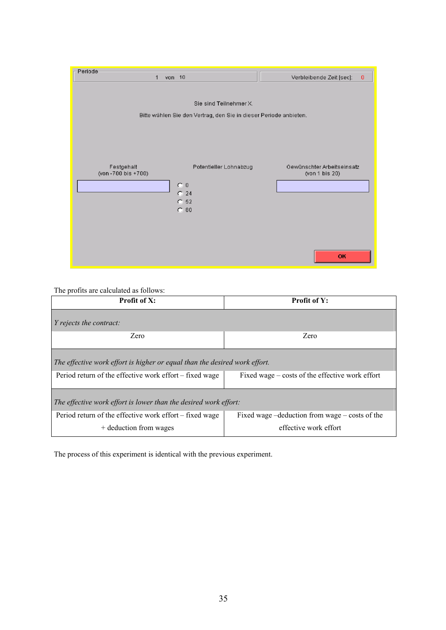| Periode                          |                                                                                             |                                                           |
|----------------------------------|---------------------------------------------------------------------------------------------|-----------------------------------------------------------|
| von 10<br>$\mathbf{1}$           |                                                                                             | Verbleibende Zeit [sec]:<br>$\mathbf 0$                   |
|                                  | Sie sind Teilnehmer X.<br>Bitte wählen Sie den Vertrag, den Sie in dieser Periode anbieten. |                                                           |
| Festgehalt<br>(von-700 bis +700) | Potentieller Lohnabzug<br>$\mathbf{C}$ 0<br>$C$ 24<br>C <sub>52</sub><br>C.80               | Gewünschter Arbeitseinsatz<br>(von 1 bis 20)<br><b>OK</b> |

## The profits are calculated as follows:

| <b>Profit of X:</b>                                                               | <b>Profit of Y:</b>                                                          |  |  |  |  |
|-----------------------------------------------------------------------------------|------------------------------------------------------------------------------|--|--|--|--|
| $Y$ rejects the contract:                                                         |                                                                              |  |  |  |  |
| Zero                                                                              | Zero                                                                         |  |  |  |  |
| The effective work effort is higher or equal than the desired work effort.        |                                                                              |  |  |  |  |
| Period return of the effective work effort – fixed wage                           | Fixed wage – costs of the effective work effort                              |  |  |  |  |
| The effective work effort is lower than the desired work effort:                  |                                                                              |  |  |  |  |
| Period return of the effective work effort – fixed wage<br>+ deduction from wages | Fixed wage $-deduction$ from wage $-\cos ts$ of the<br>effective work effort |  |  |  |  |

The process of this experiment is identical with the previous experiment.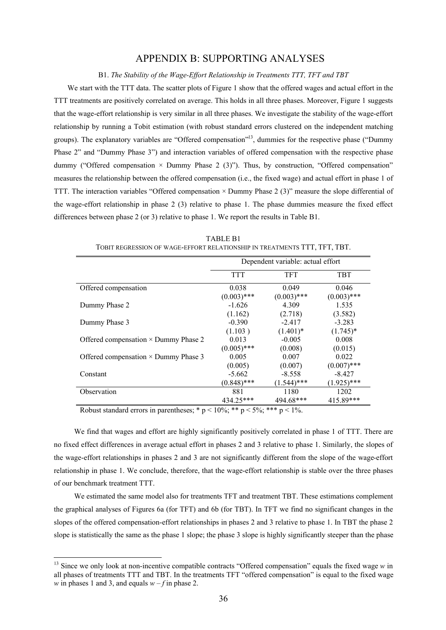### APPENDIX B: SUPPORTING ANALYSES

B1. *The Stability of the Wage-Effort Relationship in Treatments TTT, TFT and TBT*

We start with the TTT data. The scatter plots of Figure 1 show that the offered wages and actual effort in the TTT treatments are positively correlated on average. This holds in all three phases. Moreover, Figure 1 suggests that the wage-effort relationship is very similar in all three phases. We investigate the stability of the wage-effort relationship by running a Tobit estimation (with robust standard errors clustered on the independent matching groups). The explanatory variables are "Offered compensation"<sup>13</sup>, dummies for the respective phase ("Dummy Phase 2" and "Dummy Phase 3") and interaction variables of offered compensation with the respective phase dummy ("Offered compensation  $\times$  Dummy Phase 2 (3)"). Thus, by construction, "Offered compensation" measures the relationship between the offered compensation (i.e., the fixed wage) and actual effort in phase 1 of TTT. The interaction variables "Offered compensation  $\times$  Dummy Phase 2 (3)" measure the slope differential of the wage-effort relationship in phase 2 (3) relative to phase 1. The phase dummies measure the fixed effect differences between phase 2 (or 3) relative to phase 1. We report the results in Table B1.

|                                             | Dependent variable: actual effort |               |               |
|---------------------------------------------|-----------------------------------|---------------|---------------|
|                                             | <b>TTT</b>                        | <b>TFT</b>    | <b>TBT</b>    |
| Offered compensation                        | 0.038                             | 0.049         | 0.046         |
|                                             | $(0.003)$ ***                     | $(0.003)$ *** | $(0.003)$ *** |
| Dummy Phase 2                               | $-1.626$                          | 4.309         | 1.535         |
|                                             | (1.162)                           | (2.718)       | (3.582)       |
| Dummy Phase 3                               | $-0.390$                          | $-2.417$      | $-3.283$      |
|                                             | (1.103)                           | $(1.401)^*$   | $(1.745)^*$   |
| Offered compensation $\times$ Dummy Phase 2 | 0.013                             | $-0.005$      | 0.008         |
|                                             | $(0.005)$ ***                     | (0.008)       | (0.015)       |
| Offered compensation $\times$ Dummy Phase 3 | 0.005                             | 0.007         | 0.022         |
|                                             | (0.005)                           | (0.007)       | $(0.007)$ *** |
| Constant                                    | $-5.662$                          | $-8.558$      | $-8.427$      |
|                                             | $(0.848)$ ***                     | $(1.544)$ *** | $(1.925)$ *** |
| Observation                                 | 881                               | 1180          | 1202          |
|                                             | 434.25***                         | 494.68***     | 415.89***     |

TABLE B1 TOBIT REGRESSION OF WAGE-EFFORT RELATIONSHIP IN TREATMENTS TTT, TFT, TBT.

Robust standard errors in parentheses; \*  $p < 10\%$ ; \*\*  $p < 5\%$ ; \*\*\*  $p < 1\%$ .

 $\overline{a}$ 

We find that wages and effort are highly significantly positively correlated in phase 1 of TTT. There are no fixed effect differences in average actual effort in phases 2 and 3 relative to phase 1. Similarly, the slopes of the wage-effort relationships in phases 2 and 3 are not significantly different from the slope of the wage-effort relationship in phase 1. We conclude, therefore, that the wage-effort relationship is stable over the three phases of our benchmark treatment TTT.

We estimated the same model also for treatments TFT and treatment TBT. These estimations complement the graphical analyses of Figures 6a (for TFT) and 6b (for TBT). In TFT we find no significant changes in the slopes of the offered compensation-effort relationships in phases 2 and 3 relative to phase 1. In TBT the phase 2 slope is statistically the same as the phase 1 slope; the phase 3 slope is highly significantly steeper than the phase

<sup>&</sup>lt;sup>13</sup> Since we only look at non-incentive compatible contracts "Offered compensation" equals the fixed wage *w* in all phases of treatments TTT and TBT. In the treatments TFT "offered compensation" is equal to the fixed wage *w* in phases 1 and 3, and equals  $w - f$  in phase 2.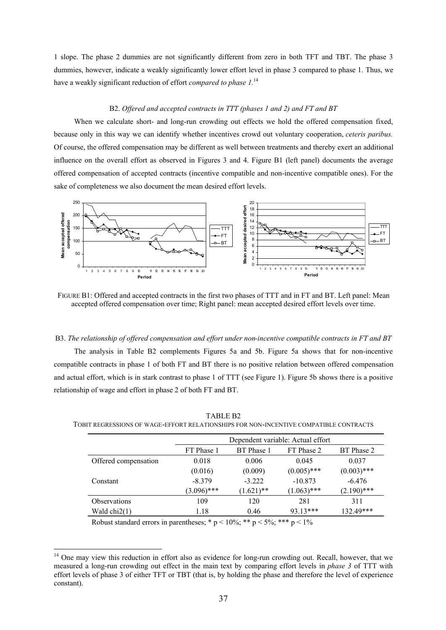1 slope. The phase 2 dummies are not significantly different from zero in both TFT and TBT. The phase 3 dummies, however, indicate a weakly significantly lower effort level in phase 3 compared to phase 1. Thus, we have a weakly significant reduction of effort *compared to phase 1.*<sup>14</sup>

#### B2. *Offered and accepted contracts in TTT (phases 1 and 2) and FT and BT*

When we calculate short- and long-run crowding out effects we hold the offered compensation fixed, because only in this way we can identify whether incentives crowd out voluntary cooperation, *ceteris paribus.*  Of course, the offered compensation may be different as well between treatments and thereby exert an additional influence on the overall effort as observed in Figures 3 and 4. Figure B1 (left panel) documents the average offered compensation of accepted contracts (incentive compatible and non-incentive compatible ones). For the sake of completeness we also document the mean desired effort levels.



FIGURE B1: Offered and accepted contracts in the first two phases of TTT and in FT and BT. Left panel: Mean accepted offered compensation over time; Right panel: mean accepted desired effort levels over time.

#### B3. *The relationship of offered compensation and effort under non-incentive compatible contracts in FT and BT*

The analysis in Table B2 complements Figures 5a and 5b. Figure 5a shows that for non-incentive compatible contracts in phase 1 of both FT and BT there is no positive relation between offered compensation and actual effort, which is in stark contrast to phase 1 of TTT (see Figure 1). Figure 5b shows there is a positive relationship of wage and effort in phase 2 of both FT and BT.

|                      | Dependent variable: Actual effort |              |               |               |
|----------------------|-----------------------------------|--------------|---------------|---------------|
|                      | FT Phase 1                        | BT Phase 1   | FT Phase 2    | BT Phase 2    |
| Offered compensation | 0.018                             | 0.006        | 0.045         | 0.037         |
|                      | (0.016)                           | (0.009)      | $(0.005)$ *** | $(0.003)$ *** |
| Constant             | $-8.379$                          | $-3.222$     | $-10.873$     | $-6.476$      |
|                      | $(3.096)$ ***                     | $(1.621)$ ** | $(1.063)$ *** | $(2.190)$ *** |
| <b>Observations</b>  | 109                               | 120          | 281           | 311           |
| Wald $chi2(1)$       | 1.18                              | 0.46         | 93.13***      | 132.49***     |

TABLE B2 TOBIT REGRESSIONS OF WAGE-EFFORT RELATIONSHIPS FOR NON-INCENTIVE COMPATIBLE CONTRACTS

Robust standard errors in parentheses; \*  $p < 10\%$ ; \*\*  $p < 5\%$ ; \*\*\*  $p < 1\%$ 

 $\overline{a}$ 

<sup>&</sup>lt;sup>14</sup> One may view this reduction in effort also as evidence for long-run crowding out. Recall, however, that we measured a long-run crowding out effect in the main text by comparing effort levels in *phase 3* of TTT with effort levels of phase 3 of either TFT or TBT (that is, by holding the phase and therefore the level of experience constant).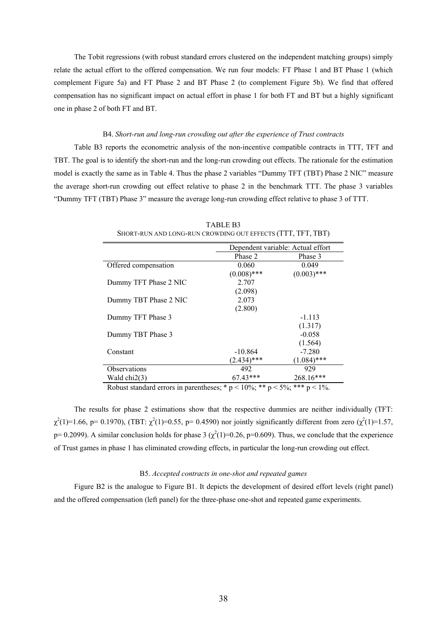The Tobit regressions (with robust standard errors clustered on the independent matching groups) simply relate the actual effort to the offered compensation. We run four models: FT Phase 1 and BT Phase 1 (which complement Figure 5a) and FT Phase 2 and BT Phase 2 (to complement Figure 5b). We find that offered compensation has no significant impact on actual effort in phase 1 for both FT and BT but a highly significant one in phase 2 of both FT and BT.

#### B4. *Short-run and long-run crowding out after the experience of Trust contracts*

Table B3 reports the econometric analysis of the non-incentive compatible contracts in TTT, TFT and TBT. The goal is to identify the short-run and the long-run crowding out effects. The rationale for the estimation model is exactly the same as in Table 4. Thus the phase 2 variables "Dummy TFT (TBT) Phase 2 NIC" measure the average short-run crowding out effect relative to phase 2 in the benchmark TTT. The phase 3 variables "Dummy TFT (TBT) Phase 3" measure the average long-run crowding effect relative to phase 3 of TTT.

|                       | Dependent variable: Actual effort |               |  |
|-----------------------|-----------------------------------|---------------|--|
|                       | Phase 2                           | Phase 3       |  |
| Offered compensation  | 0.060                             | 0.049         |  |
|                       | $(0.008)$ ***                     | $(0.003)$ *** |  |
| Dummy TFT Phase 2 NIC | 2.707                             |               |  |
|                       | (2.098)                           |               |  |
| Dummy TBT Phase 2 NIC | 2.073                             |               |  |
|                       | (2.800)                           |               |  |
| Dummy TFT Phase 3     |                                   | $-1.113$      |  |
|                       |                                   | (1.317)       |  |
| Dummy TBT Phase 3     |                                   | $-0.058$      |  |
|                       |                                   | (1.564)       |  |
| Constant              | $-10.864$                         | $-7.280$      |  |
|                       | $(2.434)$ ***                     | $(1.084)$ *** |  |
| <b>Observations</b>   | 492                               | 929           |  |
| Wald chi2(3)          | $67.43***$                        | 268.16***     |  |

TABLE B3 SHORT-RUN AND LONG-RUN CROWDING OUT EFFECTS (TTT, TFT, TBT)

Robust standard errors in parentheses; \*  $p < 10\%$ ; \*\*  $p < 5\%$ ; \*\*\*  $p < 1\%$ .

The results for phase 2 estimations show that the respective dummies are neither individually (TFT:  $\chi^2(1)=1.66$ , p= 0.1970), (TBT:  $\chi^2(1)=0.55$ , p= 0.4590) nor jointly significantly different from zero ( $\chi^2(1)=1.57$ , p= 0.2099). A similar conclusion holds for phase 3 ( $\chi^2(1)=0.26$ , p=0.609). Thus, we conclude that the experience of Trust games in phase 1 has eliminated crowding effects, in particular the long-run crowding out effect.

#### B5. *Accepted contracts in one-shot and repeated games*

Figure B2 is the analogue to Figure B1. It depicts the development of desired effort levels (right panel) and the offered compensation (left panel) for the three-phase one-shot and repeated game experiments.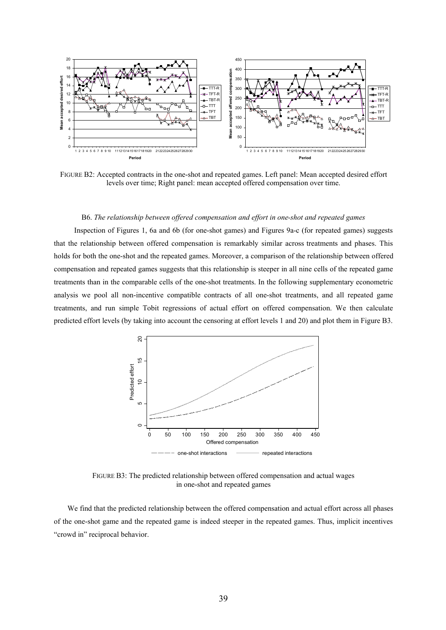

FIGURE B2: Accepted contracts in the one-shot and repeated games. Left panel: Mean accepted desired effort levels over time; Right panel: mean accepted offered compensation over time.

#### B6. *The relationship between offered compensation and effort in one-shot and repeated games*

Inspection of Figures 1, 6a and 6b (for one-shot games) and Figures 9a-c (for repeated games) suggests that the relationship between offered compensation is remarkably similar across treatments and phases. This holds for both the one-shot and the repeated games. Moreover, a comparison of the relationship between offered compensation and repeated games suggests that this relationship is steeper in all nine cells of the repeated game treatments than in the comparable cells of the one-shot treatments. In the following supplementary econometric analysis we pool all non-incentive compatible contracts of all one-shot treatments, and all repeated game treatments, and run simple Tobit regressions of actual effort on offered compensation. We then calculate predicted effort levels (by taking into account the censoring at effort levels 1 and 20) and plot them in Figure B3.



FIGURE B3: The predicted relationship between offered compensation and actual wages in one-shot and repeated games

We find that the predicted relationship between the offered compensation and actual effort across all phases of the one-shot game and the repeated game is indeed steeper in the repeated games. Thus, implicit incentives "crowd in" reciprocal behavior.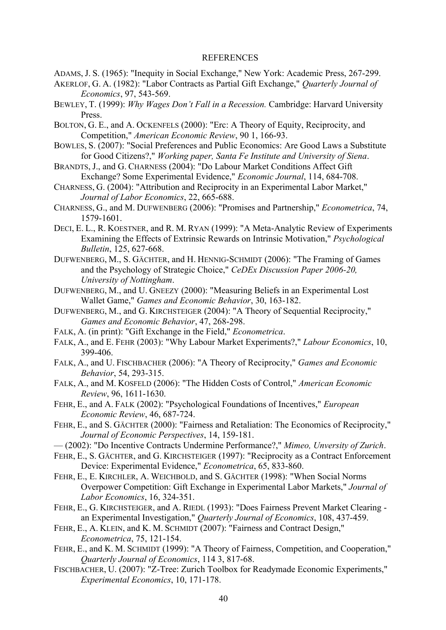#### REFERENCES

- ADAMS, J. S. (1965): "Inequity in Social Exchange," New York: Academic Press, 267-299.
- AKERLOF, G. A. (1982): "Labor Contracts as Partial Gift Exchange," *Quarterly Journal of Economics*, 97, 543-569.
- BEWLEY, T. (1999): *Why Wages Don't Fall in a Recession.* Cambridge: Harvard University Press.
- BOLTON, G. E., and A. OCKENFELS (2000): "Erc: A Theory of Equity, Reciprocity, and Competition," *American Economic Review*, 90 1, 166-93.
- BOWLES, S. (2007): "Social Preferences and Public Economics: Are Good Laws a Substitute for Good Citizens?," *Working paper, Santa Fe Institute and University of Siena*.
- BRANDTS, J., and G. CHARNESS (2004): "Do Labour Market Conditions Affect Gift Exchange? Some Experimental Evidence," *Economic Journal*, 114, 684-708.
- CHARNESS, G. (2004): "Attribution and Reciprocity in an Experimental Labor Market," *Journal of Labor Economics*, 22, 665-688.
- CHARNESS, G., and M. DUFWENBERG (2006): "Promises and Partnership," *Econometrica*, 74, 1579-1601.
- DECI, E. L., R. KOESTNER, and R. M. RYAN (1999): "A Meta-Analytic Review of Experiments Examining the Effects of Extrinsic Rewards on Intrinsic Motivation," *Psychological Bulletin*, 125, 627-668.
- DUFWENBERG, M., S. GÄCHTER, and H. HENNIG-SCHMIDT (2006): "The Framing of Games and the Psychology of Strategic Choice," *CeDEx Discussion Paper 2006-20, University of Nottingham*.
- DUFWENBERG, M., and U. GNEEZY (2000): "Measuring Beliefs in an Experimental Lost Wallet Game," *Games and Economic Behavior*, 30, 163-182.
- DUFWENBERG, M., and G. KIRCHSTEIGER (2004): "A Theory of Sequential Reciprocity," *Games and Economic Behavior*, 47, 268-298.
- FALK, A. (in print): "Gift Exchange in the Field," *Econometrica*.
- FALK, A., and E. FEHR (2003): "Why Labour Market Experiments?," *Labour Economics*, 10, 399-406.
- FALK, A., and U. FISCHBACHER (2006): "A Theory of Reciprocity," *Games and Economic Behavior*, 54, 293-315.
- FALK, A., and M. KOSFELD (2006): "The Hidden Costs of Control," *American Economic Review*, 96, 1611-1630.
- FEHR, E., and A. FALK (2002): "Psychological Foundations of Incentives," *European Economic Review*, 46, 687-724.
- FEHR, E., and S. GÄCHTER (2000): "Fairness and Retaliation: The Economics of Reciprocity," *Journal of Economic Perspectives*, 14, 159-181.
- (2002): "Do Incentive Contracts Undermine Performance?," *Mimeo, Unversity of Zurich*.
- FEHR, E., S. GÄCHTER, and G. KIRCHSTEIGER (1997): "Reciprocity as a Contract Enforcement Device: Experimental Evidence," *Econometrica*, 65, 833-860.
- FEHR, E., E. KIRCHLER, A. WEICHBOLD, and S. GÄCHTER (1998): "When Social Norms Overpower Competition: Gift Exchange in Experimental Labor Markets," *Journal of Labor Economics*, 16, 324-351.
- FEHR, E., G. KIRCHSTEIGER, and A. RIEDL (1993): "Does Fairness Prevent Market Clearing an Experimental Investigation," *Quarterly Journal of Economics*, 108, 437-459.
- FEHR, E., A. KLEIN, and K. M. SCHMIDT (2007): "Fairness and Contract Design," *Econometrica*, 75, 121-154.
- FEHR, E., and K. M. SCHMIDT (1999): "A Theory of Fairness, Competition, and Cooperation," *Quarterly Journal of Economics*, 114 3, 817-68.
- FISCHBACHER, U. (2007): "Z-Tree: Zurich Toolbox for Readymade Economic Experiments," *Experimental Economics*, 10, 171-178.